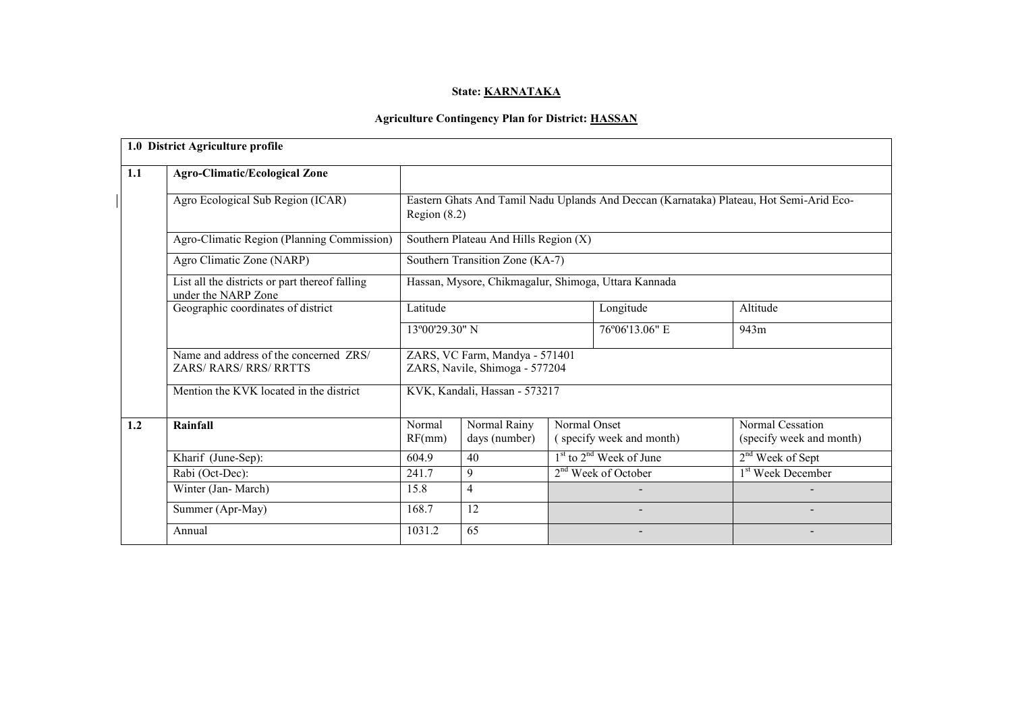# State: **KARNATAKA**

# Agriculture Contingency Plan for District: HASSAN

|     | 1.0 District Agriculture profile                                        |                  |                                                                  |              |                             |                                                                                         |
|-----|-------------------------------------------------------------------------|------------------|------------------------------------------------------------------|--------------|-----------------------------|-----------------------------------------------------------------------------------------|
| 1.1 | <b>Agro-Climatic/Ecological Zone</b>                                    |                  |                                                                  |              |                             |                                                                                         |
|     | Agro Ecological Sub Region (ICAR)                                       | Region $(8.2)$   |                                                                  |              |                             | Eastern Ghats And Tamil Nadu Uplands And Deccan (Karnataka) Plateau, Hot Semi-Arid Eco- |
|     | Agro-Climatic Region (Planning Commission)                              |                  | Southern Plateau And Hills Region (X)                            |              |                             |                                                                                         |
|     | Agro Climatic Zone (NARP)                                               |                  | Southern Transition Zone (KA-7)                                  |              |                             |                                                                                         |
|     | List all the districts or part thereof falling<br>under the NARP Zone   |                  | Hassan, Mysore, Chikmagalur, Shimoga, Uttara Kannada             |              |                             |                                                                                         |
|     | Geographic coordinates of district                                      | Latitude         |                                                                  |              | Longitude                   | Altitude                                                                                |
|     |                                                                         |                  | 13°00'29.30" N                                                   |              | 76°06'13.06" E              | 943m                                                                                    |
|     | Name and address of the concerned ZRS/<br><b>ZARS/ RARS/ RRS/ RRTTS</b> |                  | ZARS, VC Farm, Mandya - 571401<br>ZARS, Navile, Shimoga - 577204 |              |                             |                                                                                         |
|     | Mention the KVK located in the district                                 |                  | KVK, Kandali, Hassan - 573217                                    |              |                             |                                                                                         |
| 1.2 | Rainfall                                                                | Normal<br>RF(mm) | Normal Rainy<br>days (number)                                    | Normal Onset | (specify week and month)    | <b>Normal Cessation</b><br>(specify week and month)                                     |
|     | Kharif (June-Sep):                                                      | 604.9            | 40                                                               |              | $1st$ to $2nd$ Week of June | 2 <sup>nd</sup> Week of Sept                                                            |
|     | Rabi (Oct-Dec):                                                         | 241.7            | 9                                                                |              | $2nd$ Week of October       | 1 <sup>st</sup> Week December                                                           |
|     | Winter (Jan-March)                                                      | 15.8             | $\overline{4}$                                                   |              |                             |                                                                                         |
|     | Summer (Apr-May)                                                        | 168.7            | 12                                                               |              |                             |                                                                                         |
|     | Annual                                                                  | 1031.2           | 65                                                               |              |                             |                                                                                         |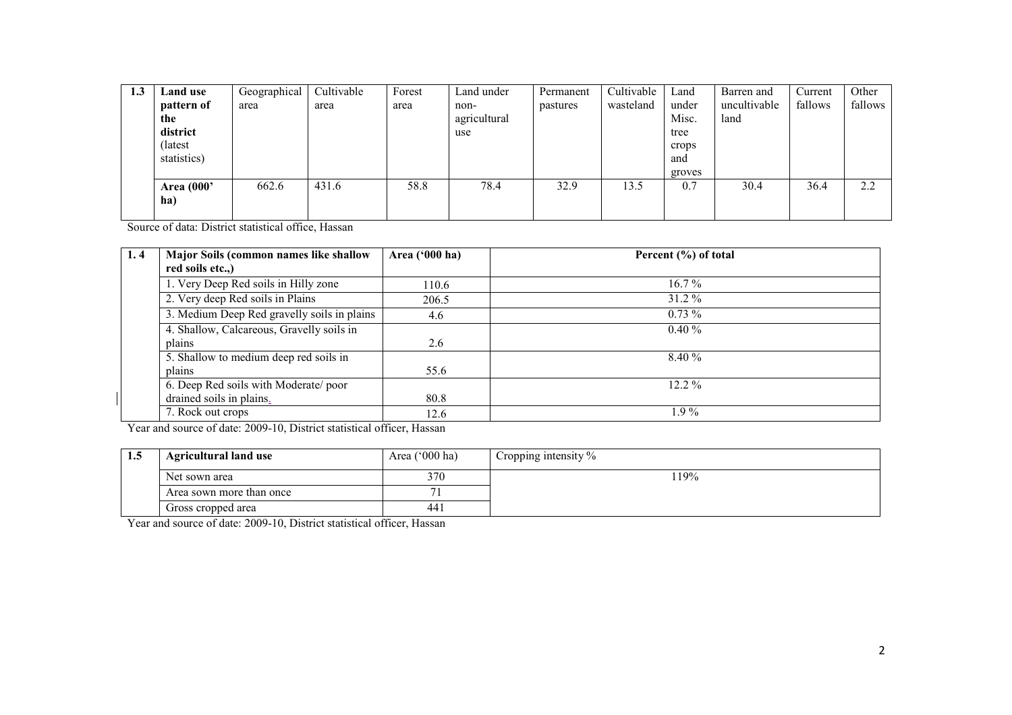| 1.3 | Land use    | Geographical | Cultivable | Forest | Land under   | Permanent | Cultivable | Land   | Barren and   | Current | Other   |
|-----|-------------|--------------|------------|--------|--------------|-----------|------------|--------|--------------|---------|---------|
|     | pattern of  | area         | area       | area   | non-         | pastures  | wasteland  | under  | uncultivable | fallows | fallows |
|     | the         |              |            |        | agricultural |           |            | Misc.  | land         |         |         |
|     | district    |              |            |        | use          |           |            | tree   |              |         |         |
|     | (latest)    |              |            |        |              |           |            | crops  |              |         |         |
|     | statistics) |              |            |        |              |           |            | and    |              |         |         |
|     |             |              |            |        |              |           |            | groves |              |         |         |
|     | Area (000'  | 662.6        | 431.6      | 58.8   | 78.4         | 32.9      | 13.5       | 0.7    | 30.4         | 36.4    | 2.2     |
|     | ha)         |              |            |        |              |           |            |        |              |         |         |
|     |             |              |            |        |              |           |            |        |              |         |         |

Source of data: District statistical office, Hassan

| 1.4 | Major Soils (common names like shallow      | Area $(900 \text{ ha})$ | Percent (%) of total |
|-----|---------------------------------------------|-------------------------|----------------------|
|     | red soils etc.,)                            |                         |                      |
|     | 1. Very Deep Red soils in Hilly zone        | 110.6                   | $16.7\%$             |
|     | 2. Very deep Red soils in Plains            | 206.5                   | 31.2 %               |
|     | 3. Medium Deep Red gravelly soils in plains | 4.6                     | $0.73\%$             |
|     | 4. Shallow, Calcareous, Gravelly soils in   |                         | $0.40 \%$            |
|     | plains                                      | 2.6                     |                      |
|     | 5. Shallow to medium deep red soils in      |                         | 8.40 %               |
|     | plains                                      | 55.6                    |                      |
|     | 6. Deep Red soils with Moderate/poor        |                         | $12.2\%$             |
|     | drained soils in plains.                    | 80.8                    |                      |
|     | 7. Rock out crops                           | 12.6                    | $.9\%$               |

Year and source of date: 2009-10, District statistical officer, Hassan

| -1.0 | <b>Agricultural land use</b> | Area $(^{\circ}000$ ha) | Cropping intensity % |
|------|------------------------------|-------------------------|----------------------|
|      | Net sown area                | 370                     | 19%                  |
|      | Area sown more than once     |                         |                      |
|      | Gross cropped area           | -44 ì                   |                      |

Year and source of date: 2009-10, District statistical officer, Hassan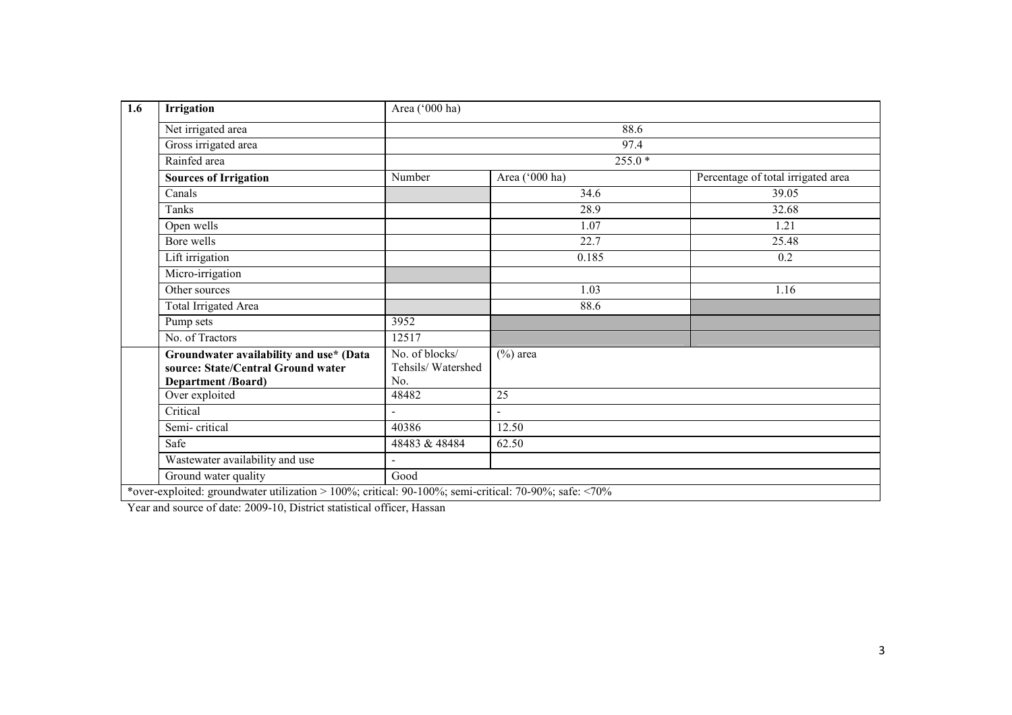| Irrigation                                                                                                 | Area ('000 ha)                             |                |                                    |
|------------------------------------------------------------------------------------------------------------|--------------------------------------------|----------------|------------------------------------|
| Net irrigated area                                                                                         |                                            | 88.6           |                                    |
| Gross irrigated area                                                                                       |                                            | 97.4           |                                    |
| Rainfed area                                                                                               |                                            | 255.0 *        |                                    |
| <b>Sources of Irrigation</b>                                                                               | Number                                     | Area ('000 ha) | Percentage of total irrigated area |
| Canals                                                                                                     |                                            | 34.6           | 39.05                              |
| Tanks                                                                                                      |                                            | 28.9           | 32.68                              |
| Open wells                                                                                                 |                                            | 1.07           | 1.21                               |
| Bore wells                                                                                                 |                                            | 22.7           | 25.48                              |
| Lift irrigation                                                                                            |                                            | 0.185          | 0.2                                |
| Micro-irrigation                                                                                           |                                            |                |                                    |
| Other sources                                                                                              |                                            | 1.03           | 1.16                               |
| Total Irrigated Area                                                                                       |                                            | 88.6           |                                    |
| Pump sets                                                                                                  | 3952                                       |                |                                    |
| No. of Tractors                                                                                            | 12517                                      |                |                                    |
| Groundwater availability and use* (Data<br>source: State/Central Ground water<br><b>Department /Board)</b> | No. of blocks/<br>Tehsils/Watershed<br>No. | $(\%)$ area    |                                    |
| Over exploited                                                                                             | 48482                                      | 25             |                                    |
| Critical                                                                                                   | $\blacksquare$                             | $\blacksquare$ |                                    |
| Semi-critical                                                                                              | 40386                                      | 12.50          |                                    |
| Safe                                                                                                       | 48483 & 48484                              | 62.50          |                                    |
| Wastewater availability and use                                                                            |                                            |                |                                    |
| Ground water quality                                                                                       | Good                                       |                |                                    |

Year and source of date: 2009-10, District statistical officer, Hassan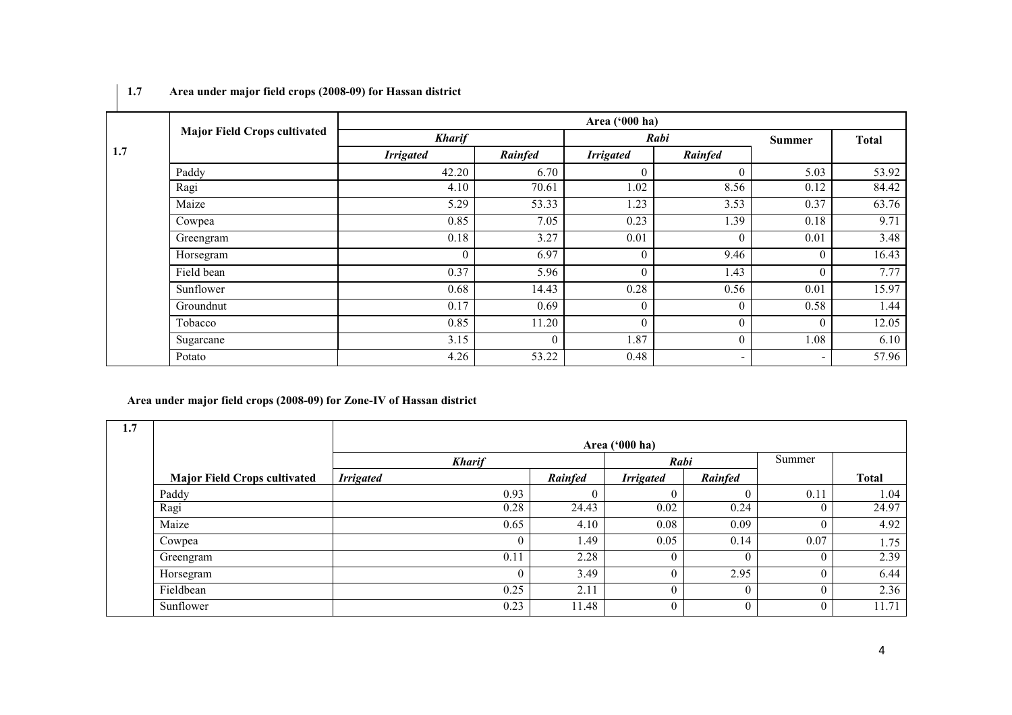| <b>Contract Contract</b> |                                     |                  |          | Area ('000 ha)   |                   |                          |              |
|--------------------------|-------------------------------------|------------------|----------|------------------|-------------------|--------------------------|--------------|
|                          | <b>Major Field Crops cultivated</b> | <b>Kharif</b>    |          |                  | Rabi              | <b>Summer</b>            | <b>Total</b> |
| 1.7                      |                                     | <b>Irrigated</b> | Rainfed  | <b>Irrigated</b> | Rainfed           |                          |              |
|                          | Paddy                               | 42.20            | 6.70     | $\theta$         | $\Omega$          | 5.03                     | 53.92        |
|                          | Ragi                                | 4.10             | 70.61    | 1.02             | 8.56              | 0.12                     | 84.42        |
|                          | Maize                               | 5.29             | 53.33    | 1.23             | 3.53              | 0.37                     | 63.76        |
|                          | Cowpea                              | 0.85             | 7.05     | 0.23             | $\overline{1.39}$ | 0.18                     | 9.71         |
|                          | Greengram                           | 0.18             | 3.27     | 0.01             | $\theta$          | 0.01                     | 3.48         |
|                          | Horsegram                           | $\theta$         | 6.97     | $\theta$         | 9.46              | $\theta$                 | 16.43        |
|                          | Field bean                          | 0.37             | 5.96     | $\mathbf{0}$     | 1.43              | $\theta$                 | 7.77         |
|                          | Sunflower                           | 0.68             | 14.43    | 0.28             | 0.56              | 0.01                     | 15.97        |
|                          | Groundnut                           | 0.17             | 0.69     | $\overline{0}$   | $\theta$          | 0.58                     | 1.44         |
|                          | Tobacco                             | 0.85             | 11.20    | $\Omega$         | $\Omega$          | $\Omega$                 | 12.05        |
|                          | Sugarcane                           | 3.15             | $\theta$ | 1.87             | $\theta$          | 1.08                     | 6.10         |
|                          | Potato                              | 4.26             | 53.22    | 0.48             | $\blacksquare$    | $\overline{\phantom{0}}$ | 57.96        |

# 1.7 Area under major field crops (2008-09) for Hassan district

# Area under major field crops (2008-09) for Zone-IV of Hassan district

| 1.7 |                                     |                  |         | Area ('000 ha)   |                |        |              |
|-----|-------------------------------------|------------------|---------|------------------|----------------|--------|--------------|
|     |                                     | <b>Kharif</b>    |         | Rabi             |                | Summer |              |
|     | <b>Major Field Crops cultivated</b> | <b>Irrigated</b> | Rainfed | <b>Irrigated</b> | Rainfed        |        | <b>Total</b> |
|     | Paddy                               | 0.93             |         |                  | $\theta$       | 0.11   | 1.04         |
|     | Ragi                                | 0.28             | 24.43   | 0.02             | 0.24           |        | 24.97        |
|     | Maize                               | 0.65             | 4.10    | 0.08             | 0.09           |        | 4.92         |
|     | Cowpea                              | $\theta$         | 1.49    | 0.05             | 0.14           | 0.07   | 1.75         |
|     | Greengram                           | 0.11             | 2.28    |                  | $\theta$       |        | 2.39         |
|     | Horsegram                           | $\theta$         | 3.49    |                  | 2.95           |        | 6.44         |
|     | Fieldbean                           | 0.25             | 2.11    |                  | $\theta$       |        | 2.36         |
|     | Sunflower                           | 0.23             | 11.48   |                  | $\overline{0}$ |        | 11.71        |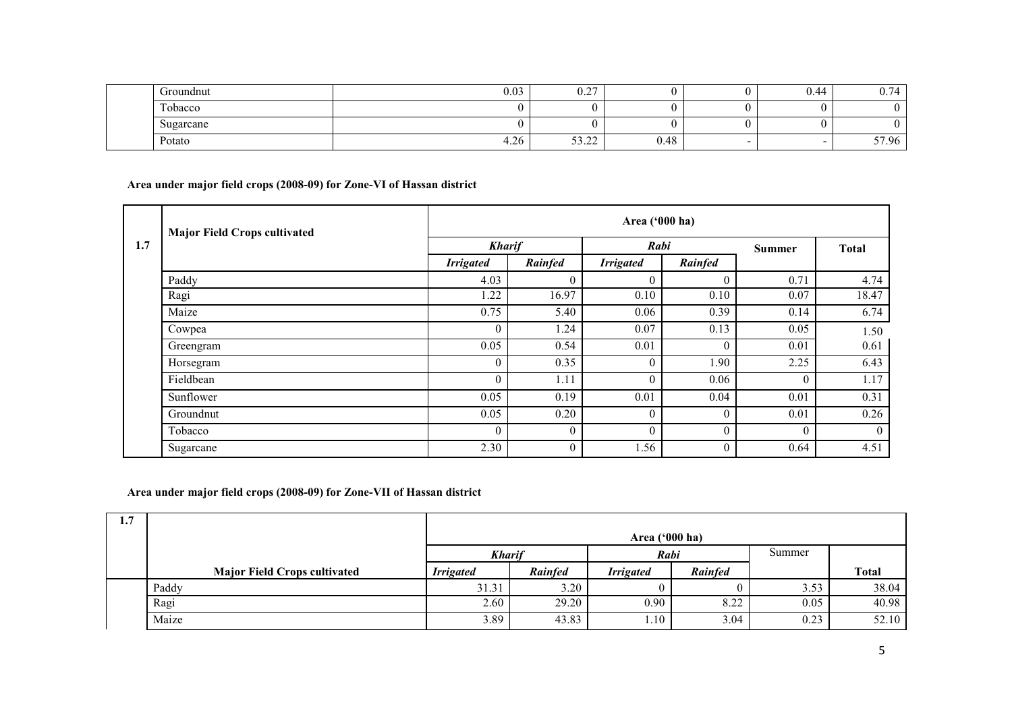|  | Groundnut                   | 0.03 | $\sim$ $\sim$<br>$\mathsf{U}.\mathsf{L}$ |      | J.44 | $\overline{ }$<br>14<br>$\mathsf{v}$ . $\prime$ |
|--|-----------------------------|------|------------------------------------------|------|------|-------------------------------------------------|
|  | <b>CONTINUES</b><br>Tobacco |      |                                          |      |      |                                                 |
|  | Sugarcane                   |      |                                          |      |      |                                                 |
|  | Potato                      | 4.26 | $-1$<br>$\sim$<br>ے ۔۔۔ ر                | 0.48 |      | 57.96                                           |

Area under major field crops (2008-09) for Zone-VI of Hassan district

|     | <b>Major Field Crops cultivated</b> |                  | Area ('000 ha) |                  |          |               |              |  |  |  |
|-----|-------------------------------------|------------------|----------------|------------------|----------|---------------|--------------|--|--|--|
| 1.7 |                                     |                  | <b>Kharif</b>  |                  | Rabi     |               | <b>Total</b> |  |  |  |
|     |                                     | <b>Irrigated</b> | Rainfed        | <b>Irrigated</b> | Rainfed  | <b>Summer</b> |              |  |  |  |
|     | Paddy                               | 4.03             | $\theta$       | $\mathfrak{g}$   | $\Omega$ | 0.71          | 4.74         |  |  |  |
|     | Ragi                                | 1.22             | 16.97          | 0.10             | 0.10     | 0.07          | 18.47        |  |  |  |
|     | Maize                               | 0.75             | 5.40           | 0.06             | 0.39     | 0.14          | 6.74         |  |  |  |
|     | Cowpea                              | $\overline{0}$   | 1.24           | 0.07             | 0.13     | 0.05          | 1.50         |  |  |  |
|     | Greengram                           | 0.05             | 0.54           | 0.01             | $\theta$ | 0.01          | 0.61         |  |  |  |
|     | Horsegram                           | $\overline{0}$   | 0.35           |                  | 1.90     | 2.25          | 6.43         |  |  |  |
|     | Fieldbean                           | $\overline{0}$   | 1.11           |                  | 0.06     | $\Omega$      | 1.17         |  |  |  |
|     | Sunflower                           | 0.05             | 0.19           | 0.01             | 0.04     | 0.01          | 0.31         |  |  |  |
|     | Groundnut                           | 0.05             | 0.20           | $\Omega$         | $\theta$ | 0.01          | 0.26         |  |  |  |
|     | Tobacco                             | $\overline{0}$   | $\theta$       |                  | $\theta$ | $\theta$      | $\theta$     |  |  |  |
|     | Sugarcane                           | 2.30             | $\theta$       | 1.56             | $\theta$ | 0.64          | 4.51         |  |  |  |

Area under major field crops (2008-09) for Zone-VII of Hassan district

| 1.7 |                                     | Area $('000 ha)$ |         |                  |                |        |              |
|-----|-------------------------------------|------------------|---------|------------------|----------------|--------|--------------|
|     |                                     | <b>Kharif</b>    |         | Rabi             |                | Summer |              |
|     | <b>Major Field Crops cultivated</b> | <b>Irrigated</b> | Rainfed | <b>Irrigated</b> | <b>Rainfed</b> |        | <b>Total</b> |
|     | Paddy                               | 31.31            | 3.20    |                  |                | 3.53   | 38.04        |
|     | Ragi                                | 2.60             | 29.20   | 0.90             | 8.22           | 0.05   | 40.98        |
|     | Maize                               | 3.89             | 43.83   | $1.10 -$         | 3.04           | 0.23   | 52.10        |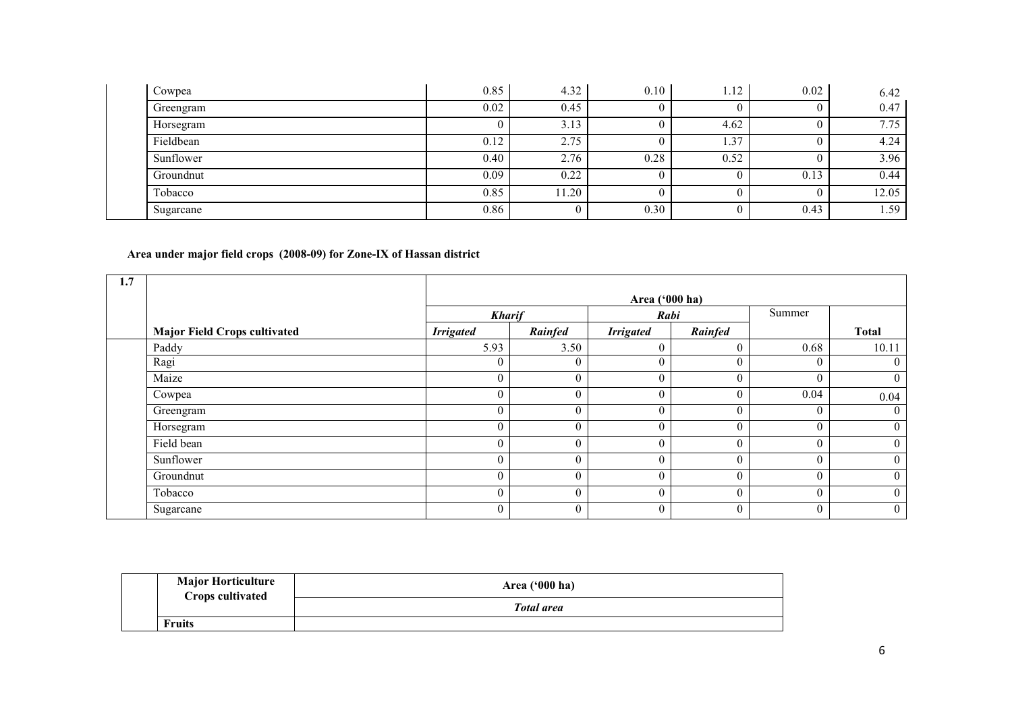| Cowpea    | 0.85 | 4.32  | 0.10 | 1.12 | 0.02 | 6.42  |
|-----------|------|-------|------|------|------|-------|
| Greengram | 0.02 | 0.45  |      |      |      | 0.47  |
| Horsegram |      | 3.13  |      | 4.62 |      | 7.75  |
| Fieldbean | 0.12 | 2.75  |      | 1.37 |      | 4.24  |
| Sunflower | 0.40 | 2.76  | 0.28 | 0.52 |      | 3.96  |
| Groundnut | 0.09 | 0.22  |      |      | 0.13 | 0.44  |
| Tobacco   | 0.85 | 11.20 |      |      |      | 12.05 |
| Sugarcane | 0.86 |       | 0.30 |      | 0.43 | 1.59  |

#### Area under major field crops (2008-09) for Zone-IX of Hassan district

| 1.7        |                                     |                  |                  |                  |              |          |                  |
|------------|-------------------------------------|------------------|------------------|------------------|--------------|----------|------------------|
|            |                                     |                  |                  | Area ('000 ha)   |              |          |                  |
|            |                                     | <b>Kharif</b>    |                  | Rabi             |              | Summer   |                  |
|            | <b>Major Field Crops cultivated</b> | <b>Irrigated</b> | Rainfed          | <b>Irrigated</b> | Rainfed      |          | <b>Total</b>     |
| Paddy      |                                     | 5.93             | 3.50             | $\overline{0}$   | $\theta$     | 0.68     | 10.11            |
| Ragi       |                                     | $\theta$         | $\theta$         | 0                | $\theta$     | $\theta$ | $\overline{0}$   |
| Maize      |                                     | $\theta$         | $\boldsymbol{0}$ | $\boldsymbol{0}$ | $\mathbf{0}$ | $\theta$ | $\mathbf{0}$     |
| Cowpea     |                                     | $\Omega$<br>U    | $\boldsymbol{0}$ | $\overline{0}$   | $\theta$     | 0.04     | 0.04             |
| Greengram  |                                     | $\theta$         | $\boldsymbol{0}$ | $\overline{0}$   | $\theta$     | $\theta$ | $\overline{0}$   |
| Horsegram  |                                     | $\theta$         | $\mathbf{0}$     | $\theta$         | $\theta$     | $\theta$ | $\overline{0}$   |
| Field bean |                                     | $\theta$         | $\overline{0}$   | $\overline{0}$   | $\mathbf{0}$ | $\theta$ | $\overline{0}$   |
| Sunflower  |                                     | $\theta$         | $\boldsymbol{0}$ | $\boldsymbol{0}$ | $\theta$     | $\theta$ | $\overline{0}$   |
| Groundnut  |                                     | $\theta$         | $\overline{0}$   | $\overline{0}$   | $\theta$     | $\theta$ | $\boldsymbol{0}$ |
| Tobacco    |                                     | $\theta$         | $\boldsymbol{0}$ | $\overline{0}$   | $\theta$     | $\theta$ | $\overline{0}$   |
| Sugarcane  |                                     | $\mathbf{0}$     | $\overline{0}$   | $\overline{0}$   | $\mathbf{0}$ | $\theta$ | $\boldsymbol{0}$ |

| <b>Major Horticulture</b> | Area $('000 ha)$  |
|---------------------------|-------------------|
| <b>Crops cultivated</b>   | <b>Total area</b> |
| <b>Fruits</b>             |                   |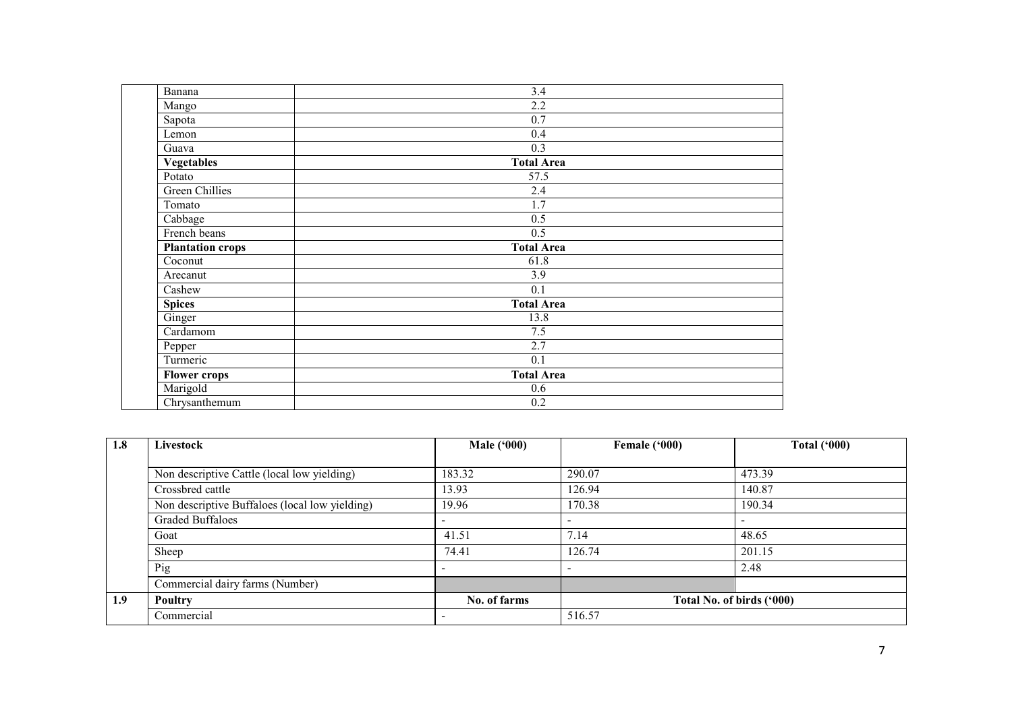| Banana                  | $\overline{3.4}$  |  |
|-------------------------|-------------------|--|
| Mango                   | $\overline{2.2}$  |  |
| Sapota                  | 0.7               |  |
| Lemon                   | 0.4               |  |
| Guava                   | 0.3               |  |
| <b>Vegetables</b>       | <b>Total Area</b> |  |
| Potato                  | 57.5              |  |
| <b>Green Chillies</b>   | 2.4               |  |
| Tomato                  | 1.7               |  |
| Cabbage                 | 0.5               |  |
| French beans            | 0.5               |  |
| <b>Plantation crops</b> | <b>Total Area</b> |  |
| Coconut                 | 61.8              |  |
| Arecanut                | $\overline{3.9}$  |  |
| Cashew                  | 0.1               |  |
| <b>Spices</b>           | <b>Total Area</b> |  |
| Ginger                  | 13.8              |  |
| Cardamom                | 7.5               |  |
| Pepper                  | 2.7               |  |
| Turmeric                | 0.1               |  |
| <b>Flower crops</b>     | <b>Total Area</b> |  |
| Marigold                | 0.6               |  |
| Chrysanthemum           | 0.2               |  |

| 1.8              | Livestock                                      | <b>Male</b> ('000)       | Female ('000)            | <b>Total ('000)</b>       |
|------------------|------------------------------------------------|--------------------------|--------------------------|---------------------------|
|                  |                                                |                          |                          |                           |
|                  | Non descriptive Cattle (local low yielding)    | 183.32                   | 290.07                   | 473.39                    |
|                  | Crossbred cattle                               | 13.93                    | 126.94                   | 140.87                    |
|                  | Non descriptive Buffaloes (local low yielding) | 19.96                    | 170.38                   | 190.34                    |
|                  | Graded Buffaloes                               |                          | $\overline{\phantom{a}}$ |                           |
|                  | Goat                                           | 41.51                    | 7.14                     | 48.65                     |
|                  | Sheep                                          | 74.41                    | 126.74                   | 201.15                    |
|                  | Pig                                            | $\overline{\phantom{0}}$ | $\overline{\phantom{a}}$ | 2.48                      |
|                  | Commercial dairy farms (Number)                |                          |                          |                           |
| 1.9 <sup>°</sup> | Poultry                                        | No. of farms             |                          | Total No. of birds ('000) |
|                  | Commercial                                     | $\overline{\phantom{0}}$ | 516.57                   |                           |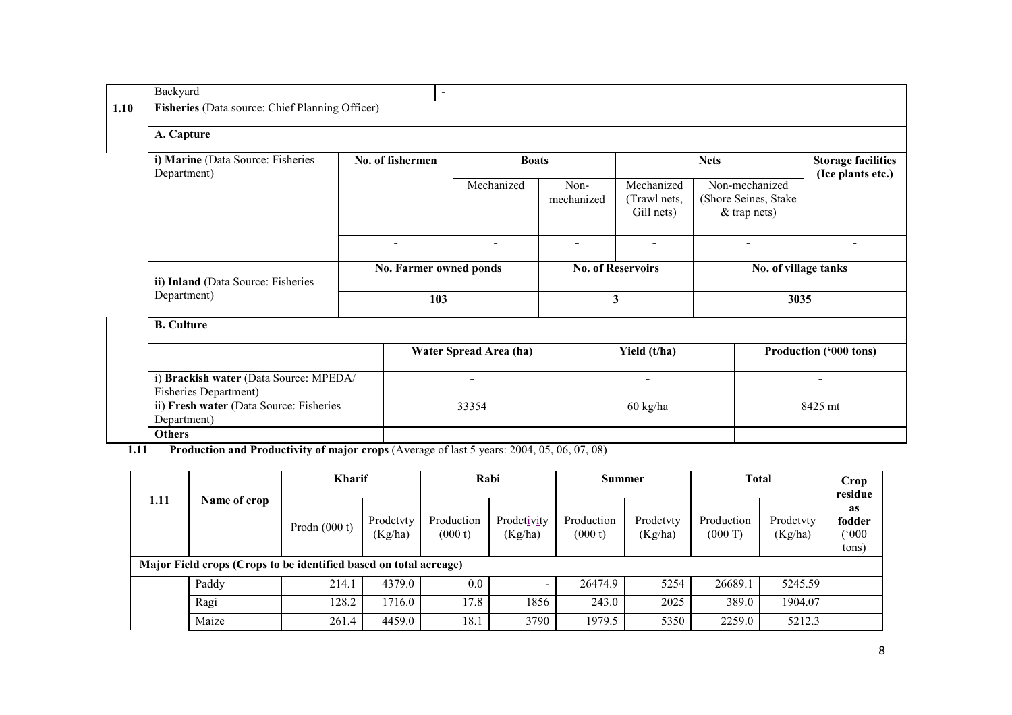| Backyard                                                               | $\blacksquare$           |                        |                          |                                          |                                                        |                                                |  |  |  |
|------------------------------------------------------------------------|--------------------------|------------------------|--------------------------|------------------------------------------|--------------------------------------------------------|------------------------------------------------|--|--|--|
| Fisheries (Data source: Chief Planning Officer)                        |                          |                        |                          |                                          |                                                        |                                                |  |  |  |
| A. Capture                                                             |                          |                        |                          |                                          |                                                        |                                                |  |  |  |
| i) Marine (Data Source: Fisheries<br>Department)                       | No. of fishermen         | <b>Boats</b>           |                          |                                          | <b>Nets</b>                                            | <b>Storage facilities</b><br>(Ice plants etc.) |  |  |  |
|                                                                        |                          | Mechanized             | Non-<br>mechanized       | Mechanized<br>(Trawl nets,<br>Gill nets) | Non-mechanized<br>(Shore Seines, Stake<br>& trap nets) |                                                |  |  |  |
|                                                                        | $\overline{\phantom{0}}$ | $\blacksquare$         | $\overline{\phantom{a}}$ | $\blacksquare$                           | $\overline{\phantom{a}}$                               |                                                |  |  |  |
| ii) Inland (Data Source: Fisheries                                     | No. Farmer owned ponds   |                        |                          | <b>No. of Reservoirs</b>                 | No. of village tanks                                   |                                                |  |  |  |
| Department)                                                            | 103                      |                        | 3                        |                                          | 3035                                                   |                                                |  |  |  |
| <b>B.</b> Culture                                                      |                          |                        |                          |                                          |                                                        |                                                |  |  |  |
|                                                                        |                          | Water Spread Area (ha) |                          | Yield (t/ha)                             |                                                        | Production ('000 tons)                         |  |  |  |
| i) Brackish water (Data Source: MPEDA/<br><b>Fisheries Department)</b> |                          | $\blacksquare$         |                          | ۰.                                       |                                                        | $\blacksquare$                                 |  |  |  |
| ii) Fresh water (Data Source: Fisheries<br>Department)                 |                          | 33354                  |                          | 60 kg/ha                                 |                                                        | 8425 mt                                        |  |  |  |
| <b>Others</b>                                                          |                          |                        |                          |                                          |                                                        |                                                |  |  |  |

1.11 Production and Productivity of major crops (Average of last 5 years: 2004, 05, 06, 07, 08)

|      |                                                                   |                 | <b>Kharif</b>        |                       | Rabi                     | Summer                |                      | <b>Total</b>          |                      | <b>Crop</b><br>residue         |
|------|-------------------------------------------------------------------|-----------------|----------------------|-----------------------|--------------------------|-----------------------|----------------------|-----------------------|----------------------|--------------------------------|
| 1.11 | Name of crop                                                      | Prodn $(000 t)$ | Prodetyty<br>(Kg/ha) | Production<br>(000 t) | Prodctivity<br>(Kg/ha)   | Production<br>(000 t) | Prodetyty<br>(Kg/ha) | Production<br>(000 T) | Prodetvty<br>(Kg/ha) | as<br>fodder<br>(000)<br>tons) |
|      | Major Field crops (Crops to be identified based on total acreage) |                 |                      |                       |                          |                       |                      |                       |                      |                                |
|      | Paddy                                                             | 214.1           | 4379.0               | 0.0                   | $\overline{\phantom{a}}$ | 26474.9               | 5254                 | 26689.1               | 5245.59              |                                |
|      | Ragi                                                              | 28.2            | 1716.0               | 17.8                  | 1856                     | 243.0                 | 2025                 | 389.0                 | 1904.07              |                                |
|      | Maize                                                             | 261.4           | 4459.0               | 18.1                  | 3790                     | 1979.5                | 5350                 | 2259.0                | 5212.3               |                                |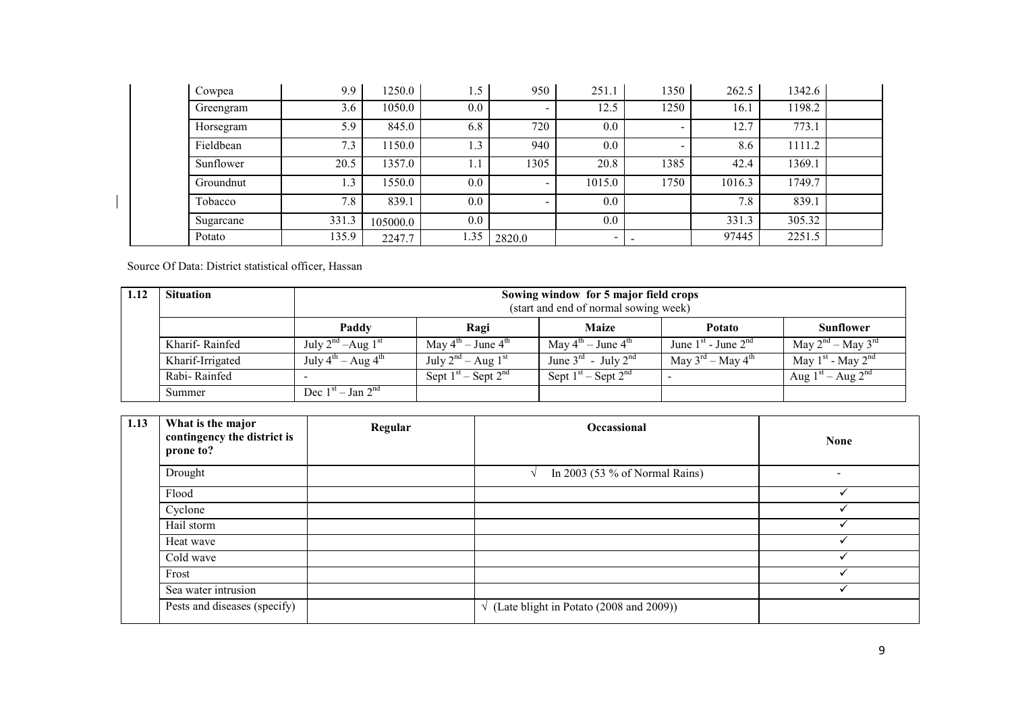|        | Cowpea    | 9.9   | 1250.0   | . . 5 | 950    | 251.1                    | 1350 | 262.5  | 1342.6 |  |
|--------|-----------|-------|----------|-------|--------|--------------------------|------|--------|--------|--|
|        | Greengram | 3.6   | 1050.0   | 0.0   |        | 12.5                     | 1250 | 16.1   | 1198.2 |  |
|        | Horsegram | 5.9   | 845.0    | 6.8   | 720    | 0.0                      |      | 12.7   | 773.1  |  |
|        | Fieldbean | 7.3   | 150.0    | 1.3   | 940    | 0.0                      |      | 8.6    | 1111.2 |  |
|        | Sunflower | 20.5  | 1357.0   | 1.1   | 1305   | 20.8                     | 1385 | 42.4   | 1369.1 |  |
|        | Groundnut | 1.3   | 1550.0   | 0.0   |        | 1015.0                   | 1750 | 1016.3 | 1749.7 |  |
|        | Tobacco   | 7.8   | 839.1    | 0.0   |        | 0.0                      |      | 7.8    | 839.1  |  |
|        | Sugarcane | 331.3 | 105000.0 | 0.0   |        | 0.0                      |      | 331.3  | 305.32 |  |
| Potato |           | 135.9 | 2247.7   | 1.35  | 2820.0 | $\overline{\phantom{0}}$ |      | 97445  | 2251.5 |  |

Source Of Data: District statistical officer, Hassan

 $\overline{\phantom{0}}$ 

| 1.12 | <b>Situation</b> | Sowing window for 5 major field crops<br>(start and end of normal sowing week) |                                            |                                             |                                           |                             |  |  |
|------|------------------|--------------------------------------------------------------------------------|--------------------------------------------|---------------------------------------------|-------------------------------------------|-----------------------------|--|--|
|      |                  | Paddy                                                                          | Ragi                                       | <b>Maize</b>                                | Potato                                    | <b>Sunflower</b>            |  |  |
|      | Kharif-Rainfed   | July $2^{nd}$ –Aug $1^{st}$                                                    | May $4^{\text{th}}$ – June $4^{\text{th}}$ | May $4^{\text{th}}$ – June $4^{\text{th}}$  | June $1st$ - June $2nd$                   | May $2^{nd}$ – May $3^{rd}$ |  |  |
|      | Kharif-Irrigated | July $4^{\text{th}}$ – Aug $4^{\text{th}}$                                     | July $2^{nd}$ – Aug $1^{st}$               | June $3^{\text{rd}}$ - July $2^{\text{nd}}$ | May $3^{\text{rd}}$ – May $4^{\text{th}}$ | May $1^{st}$ - May $2^{nd}$ |  |  |
|      | Rabi-Rainfed     |                                                                                | Sept $1st$ – Sept $2nd$                    | Sept $1st$ – Sept $2nd$                     |                                           | Aug $1st - Aug 2nd$         |  |  |
|      | Summer           | Dec $1st - Jan 2nd$                                                            |                                            |                                             |                                           |                             |  |  |

| 1.13 | What is the major<br>contingency the district is<br>prone to? | Regular | Occassional                                      | <b>None</b>              |
|------|---------------------------------------------------------------|---------|--------------------------------------------------|--------------------------|
|      | Drought                                                       |         | In 2003 (53 $%$ of Normal Rains)<br>$\sim$       | $\overline{\phantom{0}}$ |
|      | Flood                                                         |         |                                                  |                          |
|      | Cyclone                                                       |         |                                                  |                          |
|      | Hail storm                                                    |         |                                                  |                          |
|      | Heat wave                                                     |         |                                                  |                          |
|      | Cold wave                                                     |         |                                                  |                          |
|      | Frost                                                         |         |                                                  |                          |
|      | Sea water intrusion                                           |         |                                                  |                          |
|      | Pests and diseases (specify)                                  |         | $\sqrt{($ Late blight in Potato (2008 and 2009)) |                          |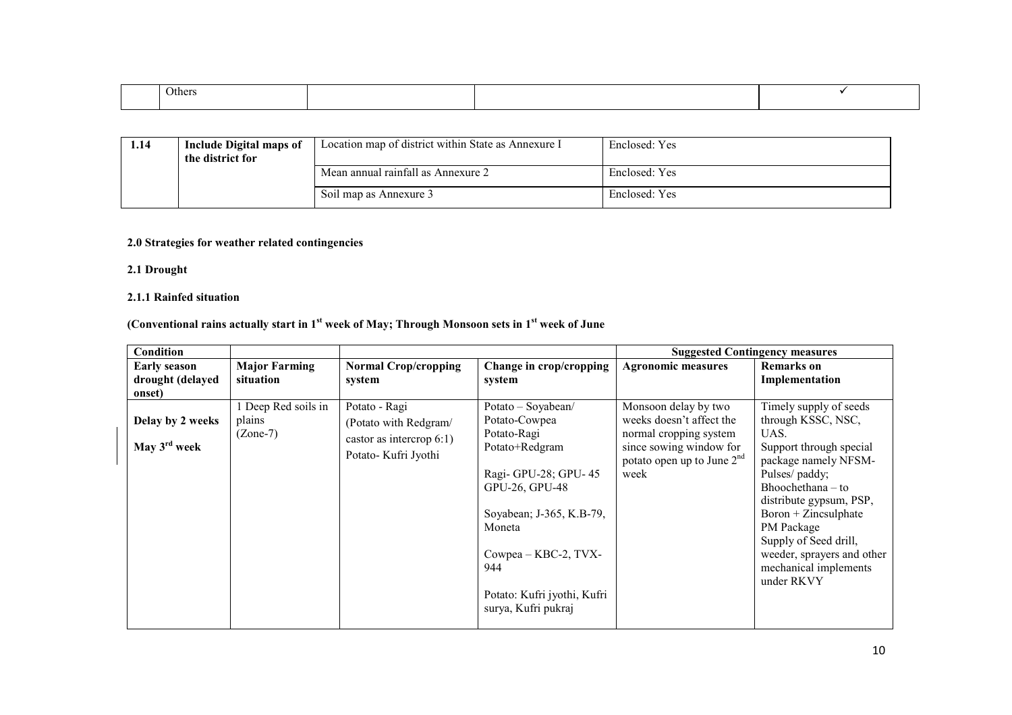| Others<br>$    -$ |  |  |
|-------------------|--|--|
|                   |  |  |
|                   |  |  |

| 1.14 | Include Digital maps of<br>the district for | Location map of district within State as Annexure I | Enclosed: Yes |
|------|---------------------------------------------|-----------------------------------------------------|---------------|
|      |                                             | Mean annual rainfall as Annexure 2                  | Enclosed: Yes |
|      |                                             | Soil map as Annexure 3                              | Enclosed: Yes |

#### 2.0 Strategies for weather related contingencies

# 2.1 Drought

# 2.1.1 Rainfed situation

# (Conventional rains actually start in  $1<sup>st</sup>$  week of May; Through Monsoon sets in  $1<sup>st</sup>$  week of June

| <b>Condition</b>                                  |                                             |                                                                                              |                                                                                                                                                                                                                                           |                                                                                                                                               | <b>Suggested Contingency measures</b>                                                                                                                                                                                                                                                                          |
|---------------------------------------------------|---------------------------------------------|----------------------------------------------------------------------------------------------|-------------------------------------------------------------------------------------------------------------------------------------------------------------------------------------------------------------------------------------------|-----------------------------------------------------------------------------------------------------------------------------------------------|----------------------------------------------------------------------------------------------------------------------------------------------------------------------------------------------------------------------------------------------------------------------------------------------------------------|
| <b>Early season</b><br>drought (delayed<br>onset) | <b>Major Farming</b><br>situation           | <b>Normal Crop/cropping</b><br>system                                                        | Change in crop/cropping<br>system                                                                                                                                                                                                         | <b>Agronomic measures</b>                                                                                                                     | <b>Remarks</b> on<br>Implementation                                                                                                                                                                                                                                                                            |
| Delay by 2 weeks<br>May $3^{\text{rd}}$ week      | 1 Deep Red soils in<br>plains<br>$(Zone-7)$ | Potato - Ragi<br>(Potato with Redgram/<br>castor as intercrop $6:1$ )<br>Potato-Kufri Jyothi | Potato - Soyabean/<br>Potato-Cowpea<br>Potato-Ragi<br>Potato+Redgram<br>Ragi- GPU-28; GPU-45<br>GPU-26, GPU-48<br>Soyabean; J-365, K.B-79,<br>Moneta<br>Cowpea - KBC-2, TVX-<br>944<br>Potato: Kufri jyothi, Kufri<br>surya, Kufri pukraj | Monsoon delay by two<br>weeks doesn't affect the<br>normal cropping system<br>since sowing window for<br>potato open up to June $2nd$<br>week | Timely supply of seeds<br>through KSSC, NSC,<br>UAS.<br>Support through special<br>package namely NFSM-<br>Pulses/paddy;<br>Bhoochethana – to<br>distribute gypsum, PSP,<br>$Boron + Zincsulphate$<br>PM Package<br>Supply of Seed drill,<br>weeder, sprayers and other<br>mechanical implements<br>under RKVY |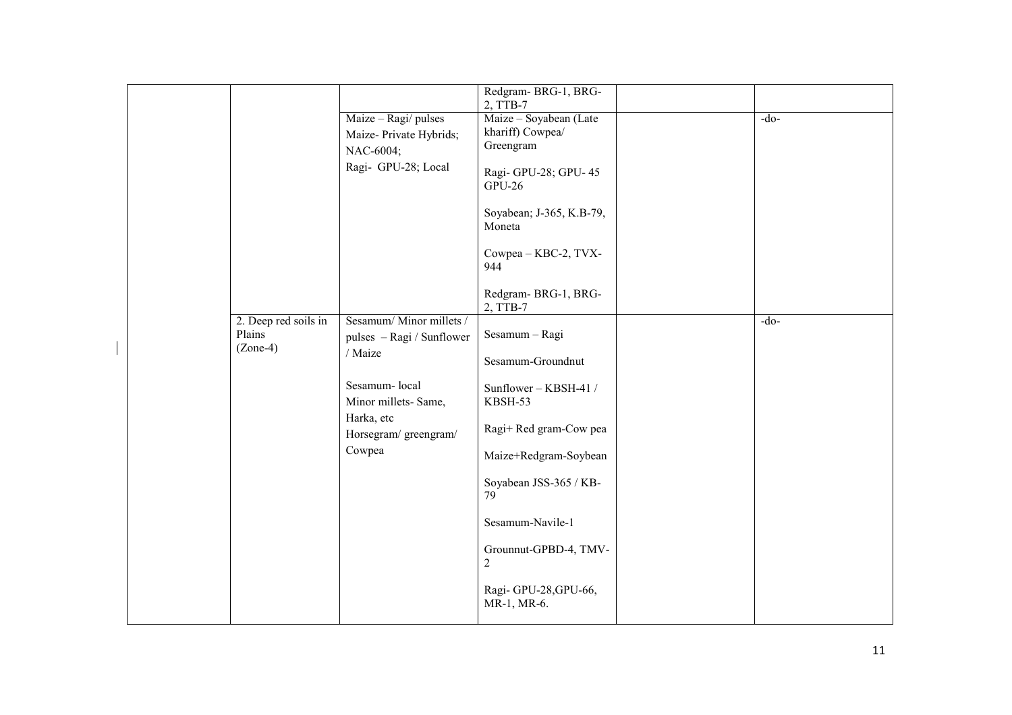|                                |                                                      | Redgram-BRG-1, BRG-<br>2, TTB-7            |        |
|--------------------------------|------------------------------------------------------|--------------------------------------------|--------|
|                                | Maize - Ragi/ pulses                                 | Maize - Soyabean (Late<br>khariff) Cowpea/ | $-do-$ |
|                                | Maize-Private Hybrids;<br>NAC-6004;                  | Greengram                                  |        |
|                                | Ragi- GPU-28; Local                                  | Ragi-GPU-28; GPU-45<br><b>GPU-26</b>       |        |
|                                |                                                      | Soyabean; J-365, K.B-79,<br>Moneta         |        |
|                                |                                                      | Cowpea - KBC-2, TVX-<br>944                |        |
|                                |                                                      | Redgram-BRG-1, BRG-<br>2, TTB-7            |        |
| 2. Deep red soils in<br>Plains | Sesamum/Minor millets /<br>pulses - Ragi / Sunflower | Sesamum - Ragi                             | $-do-$ |
| $(Zone-4)$                     | / Maize                                              | Sesamum-Groundnut                          |        |
|                                | Sesamum-local<br>Minor millets-Same,                 | Sunflower - KBSH-41 /<br>KBSH-53           |        |
|                                | Harka, etc<br>Horsegram/greengram/                   | Ragi+ Red gram-Cow pea                     |        |
|                                | Cowpea                                               | Maize+Redgram-Soybean                      |        |
|                                |                                                      | Soyabean JSS-365 / KB-<br>79               |        |
|                                |                                                      | Sesamum-Navile-1                           |        |
|                                |                                                      | Grounnut-GPBD-4, TMV-<br>$\overline{c}$    |        |
|                                |                                                      | Ragi-GPU-28, GPU-66,<br>MR-1, MR-6.        |        |
|                                |                                                      |                                            |        |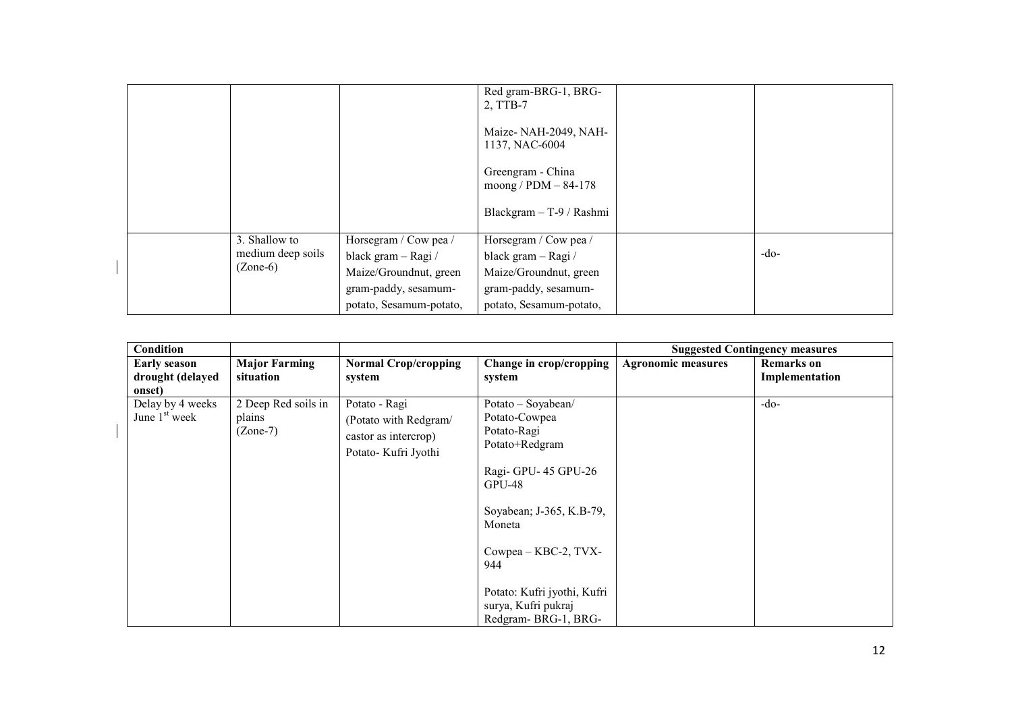|                   |                         | Red gram-BRG-1, BRG-<br>2, TTB-7            |        |
|-------------------|-------------------------|---------------------------------------------|--------|
|                   |                         | Maize-NAH-2049, NAH-<br>1137, NAC-6004      |        |
|                   |                         | Greengram - China<br>moong / $PDM - 84-178$ |        |
|                   |                         | Blackgram - T-9 / Rashmi                    |        |
| 3. Shallow to     | Horsegram / Cow pea /   | Horsegram / Cow pea /                       |        |
| medium deep soils | black gram - Ragi /     | black gram - Ragi /                         | $-do-$ |
| $(Zone-6)$        | Maize/Groundnut, green  | Maize/Groundnut, green                      |        |
|                   | gram-paddy, sesamum-    | gram-paddy, sesamum-                        |        |
|                   | potato, Sesamum-potato, | potato, Sesamum-potato,                     |        |

 $\overline{\phantom{a}}$ 

| Condition                                         |                                             |                                                                                       |                                                                                                                                                                                                                                                           |                           | <b>Suggested Contingency measures</b> |
|---------------------------------------------------|---------------------------------------------|---------------------------------------------------------------------------------------|-----------------------------------------------------------------------------------------------------------------------------------------------------------------------------------------------------------------------------------------------------------|---------------------------|---------------------------------------|
| <b>Early season</b><br>drought (delayed<br>onset) | <b>Major Farming</b><br>situation           | <b>Normal Crop/cropping</b><br>system                                                 | Change in crop/cropping<br>system                                                                                                                                                                                                                         | <b>Agronomic measures</b> | <b>Remarks</b> on<br>Implementation   |
| Delay by 4 weeks<br>June $1st$ week               | 2 Deep Red soils in<br>plains<br>$(Zone-7)$ | Potato - Ragi<br>(Potato with Redgram/<br>castor as intercrop)<br>Potato-Kufri Jyothi | Potato - Soyabean/<br>Potato-Cowpea<br>Potato-Ragi<br>Potato+Redgram<br>Ragi- GPU-45 GPU-26<br>$GPU-48$<br>Soyabean; J-365, K.B-79,<br>Moneta<br>Cowpea - KBC-2, TVX-<br>944<br>Potato: Kufri jyothi, Kufri<br>surya, Kufri pukraj<br>Redgram-BRG-1, BRG- |                           | $-do-$                                |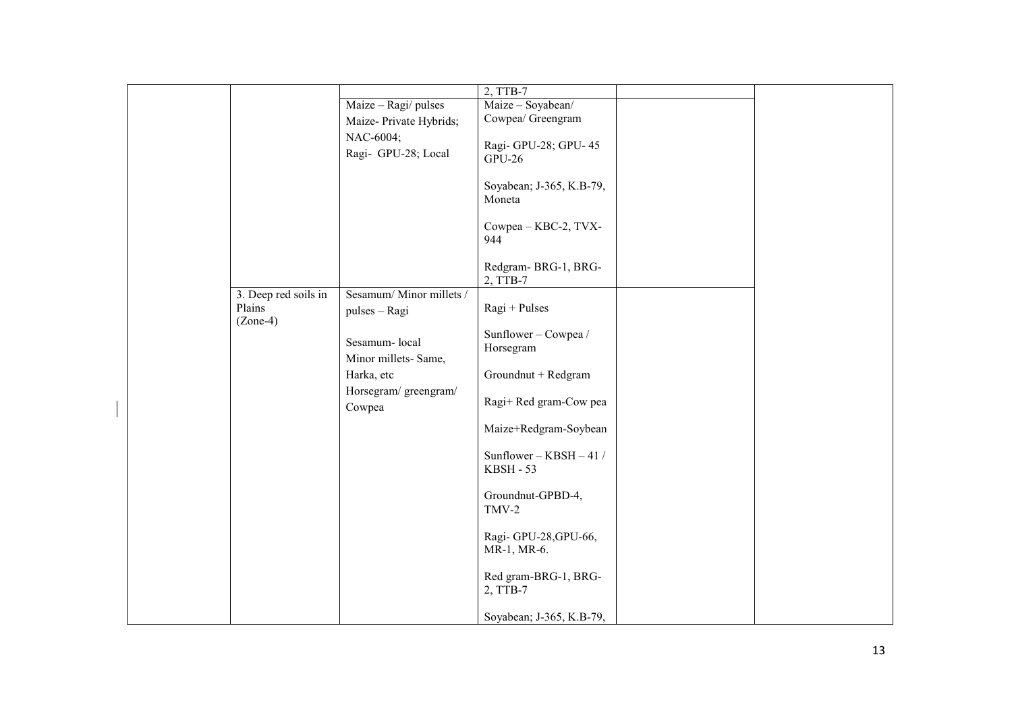|                                              |                                          | 2, TTB-7                                      |  |
|----------------------------------------------|------------------------------------------|-----------------------------------------------|--|
|                                              | Maize - Ragi/ pulses                     | Maize - Soyabean/                             |  |
|                                              | Maize-Private Hybrids;                   | Cowpea/ Greengram                             |  |
|                                              | NAC-6004;<br>Ragi- GPU-28; Local         | Ragi-GPU-28; GPU-45<br><b>GPU-26</b>          |  |
|                                              |                                          | Soyabean; J-365, K.B-79,<br>Moneta            |  |
|                                              |                                          | Cowpea - KBC-2, TVX-<br>944                   |  |
|                                              |                                          | Redgram-BRG-1, BRG-<br>2, TTB-7               |  |
| 3. Deep red soils in<br>Plains<br>$(Zone-4)$ | Sesamum/Minor millets /<br>pulses - Ragi | $Ragi + Pulses$                               |  |
|                                              | Sesamum-local<br>Minor millets-Same,     | Sunflower - Cowpea /<br>Horsegram             |  |
|                                              | Harka, etc                               | Groundnut + Redgram                           |  |
|                                              | Horsegram/greengram/<br>Cowpea           | Ragi+ Red gram-Cow pea                        |  |
|                                              |                                          | Maize+Redgram-Soybean                         |  |
|                                              |                                          | Sunflower - $KBSH - 41$ /<br><b>KBSH - 53</b> |  |
|                                              |                                          | Groundnut-GPBD-4,<br>$TMV-2$                  |  |
|                                              |                                          | Ragi-GPU-28, GPU-66,<br>MR-1, MR-6.           |  |
|                                              |                                          | Red gram-BRG-1, BRG-<br>2, TTB-7              |  |
|                                              |                                          | Soyabean; J-365, K.B-79,                      |  |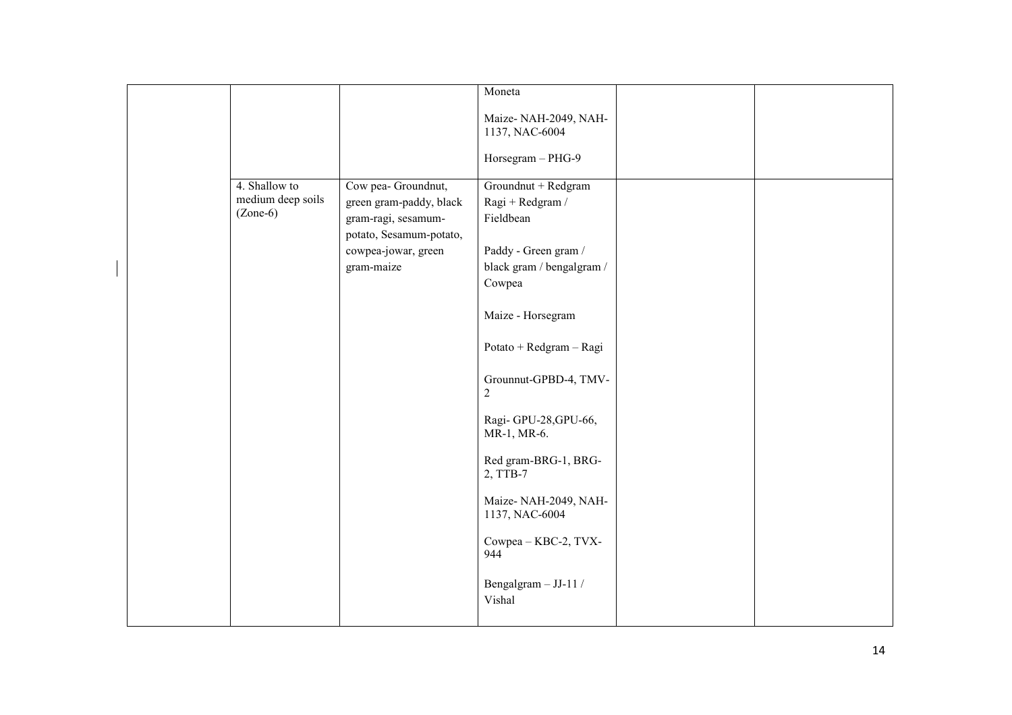|                                                  |                                                                       | Moneta                                               |  |
|--------------------------------------------------|-----------------------------------------------------------------------|------------------------------------------------------|--|
|                                                  |                                                                       | Maize-NAH-2049, NAH-<br>1137, NAC-6004               |  |
|                                                  |                                                                       | Horsegram - PHG-9                                    |  |
| 4. Shallow to<br>medium deep soils<br>$(Zone-6)$ | Cow pea- Groundnut,<br>green gram-paddy, black<br>gram-ragi, sesamum- | Groundnut + Redgram<br>Ragi + Redgram /<br>Fieldbean |  |
|                                                  | potato, Sesamum-potato,                                               |                                                      |  |
|                                                  | cowpea-jowar, green                                                   | Paddy - Green gram /                                 |  |
|                                                  | gram-maize                                                            | black gram / bengalgram /<br>Cowpea                  |  |
|                                                  |                                                                       |                                                      |  |
|                                                  |                                                                       | Maize - Horsegram                                    |  |
|                                                  |                                                                       | Potato + Redgram - Ragi                              |  |
|                                                  |                                                                       | Grounnut-GPBD-4, TMV-<br>2                           |  |
|                                                  |                                                                       | Ragi-GPU-28, GPU-66,<br>MR-1, MR-6.                  |  |
|                                                  |                                                                       | Red gram-BRG-1, BRG-<br>2, TTB-7                     |  |
|                                                  |                                                                       | Maize-NAH-2049, NAH-<br>1137, NAC-6004               |  |
|                                                  |                                                                       | Cowpea - KBC-2, TVX-<br>944                          |  |
|                                                  |                                                                       | Bengalgram - JJ-11 /<br>Vishal                       |  |
|                                                  |                                                                       |                                                      |  |

 $\overline{\phantom{a}}$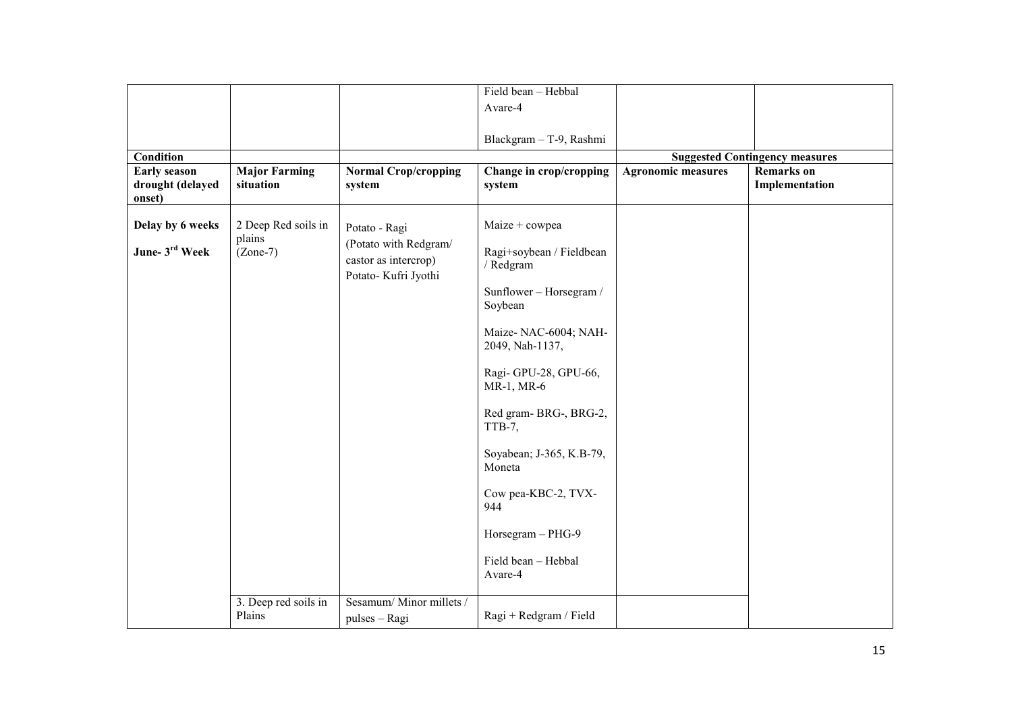|                                                   |                                             |                                                                                        | Field bean - Hebbal                                                                                                                                                                                                                                                                   |                           |                                       |
|---------------------------------------------------|---------------------------------------------|----------------------------------------------------------------------------------------|---------------------------------------------------------------------------------------------------------------------------------------------------------------------------------------------------------------------------------------------------------------------------------------|---------------------------|---------------------------------------|
|                                                   |                                             |                                                                                        | Avare-4                                                                                                                                                                                                                                                                               |                           |                                       |
|                                                   |                                             |                                                                                        |                                                                                                                                                                                                                                                                                       |                           |                                       |
|                                                   |                                             |                                                                                        | Blackgram - T-9, Rashmi                                                                                                                                                                                                                                                               |                           |                                       |
| Condition                                         |                                             |                                                                                        |                                                                                                                                                                                                                                                                                       |                           | <b>Suggested Contingency measures</b> |
| <b>Early season</b><br>drought (delayed<br>onset) | <b>Major Farming</b><br>situation           | <b>Normal Crop/cropping</b><br>system                                                  | Change in crop/cropping<br>system                                                                                                                                                                                                                                                     | <b>Agronomic measures</b> | <b>Remarks</b> on<br>Implementation   |
| Delay by 6 weeks<br>June- 3rd Week                | 2 Deep Red soils in<br>plains<br>$(Zone-7)$ | Potato - Ragi<br>(Potato with Redgram/<br>castor as intercrop)<br>Potato- Kufri Jyothi | Maize + cowpea<br>Ragi+soybean / Fieldbean<br>/ Redgram<br>Sunflower - Horsegram /<br>Soybean<br>Maize-NAC-6004; NAH-<br>2049, Nah-1137,<br>Ragi-GPU-28, GPU-66,<br>MR-1, MR-6<br>Red gram-BRG-, BRG-2,<br>TTB-7,<br>Soyabean; J-365, K.B-79,<br>Moneta<br>Cow pea-KBC-2, TVX-<br>944 |                           |                                       |
|                                                   |                                             |                                                                                        | Horsegram - PHG-9<br>Field bean - Hebbal<br>Avare-4                                                                                                                                                                                                                                   |                           |                                       |
|                                                   | 3. Deep red soils in<br>Plains              | Sesamum/Minor millets /<br>pulses - Ragi                                               | Ragi + Redgram / Field                                                                                                                                                                                                                                                                |                           |                                       |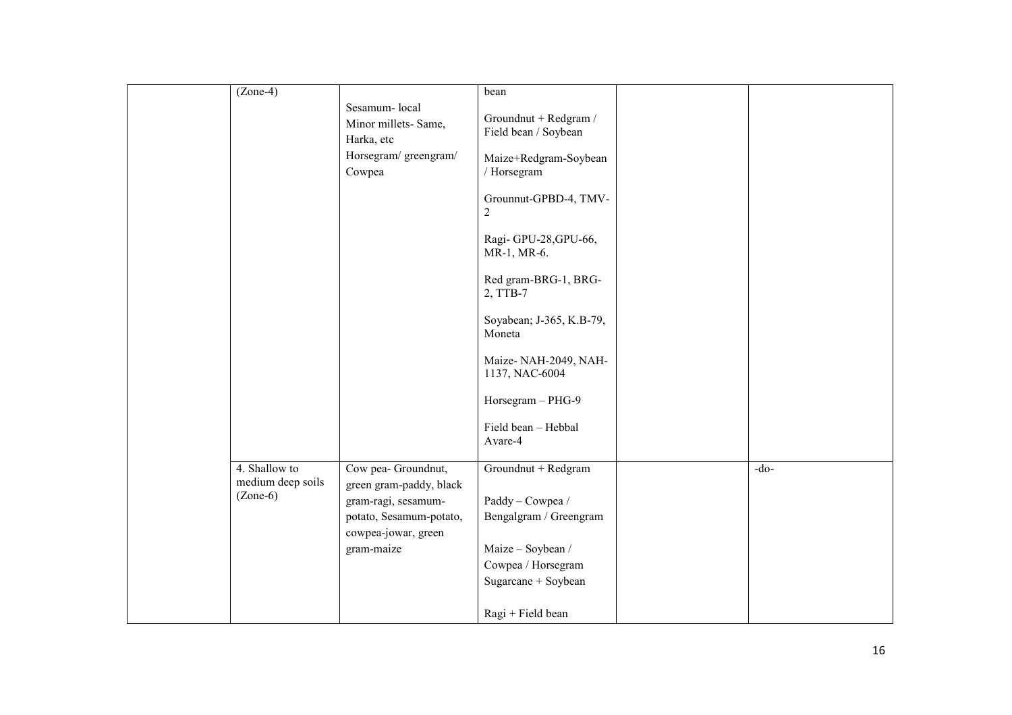| $(Zone-4)$                         |                                                                                       | bean                                                                                  |        |
|------------------------------------|---------------------------------------------------------------------------------------|---------------------------------------------------------------------------------------|--------|
|                                    | Sesamum-local<br>Minor millets-Same,<br>Harka, etc<br>Horsegram/ greengram/<br>Cowpea | Groundnut + Redgram /<br>Field bean / Soybean<br>Maize+Redgram-Soybean<br>/ Horsegram |        |
|                                    |                                                                                       | Grounnut-GPBD-4, TMV-<br>$\overline{c}$                                               |        |
|                                    |                                                                                       | Ragi-GPU-28, GPU-66,<br>MR-1, MR-6.                                                   |        |
|                                    |                                                                                       | Red gram-BRG-1, BRG-<br>2, TTB-7                                                      |        |
|                                    |                                                                                       | Soyabean; J-365, K.B-79,<br>Moneta                                                    |        |
|                                    |                                                                                       | Maize-NAH-2049, NAH-<br>1137, NAC-6004                                                |        |
|                                    |                                                                                       | Horsegram - PHG-9<br>Field bean - Hebbal                                              |        |
|                                    |                                                                                       | Avare-4                                                                               |        |
| 4. Shallow to<br>medium deep soils | Cow pea- Groundnut,<br>green gram-paddy, black                                        | Groundnut + Redgram                                                                   | $-do-$ |
| $(Zone-6)$                         | gram-ragi, sesamum-                                                                   | Paddy - Cowpea /                                                                      |        |
|                                    | potato, Sesamum-potato,<br>cowpea-jowar, green                                        | Bengalgram / Greengram                                                                |        |
|                                    | gram-maize                                                                            | Maize - Soybean /                                                                     |        |
|                                    |                                                                                       | Cowpea / Horsegram<br>Sugarcane + Soybean                                             |        |
|                                    |                                                                                       | Ragi + Field bean                                                                     |        |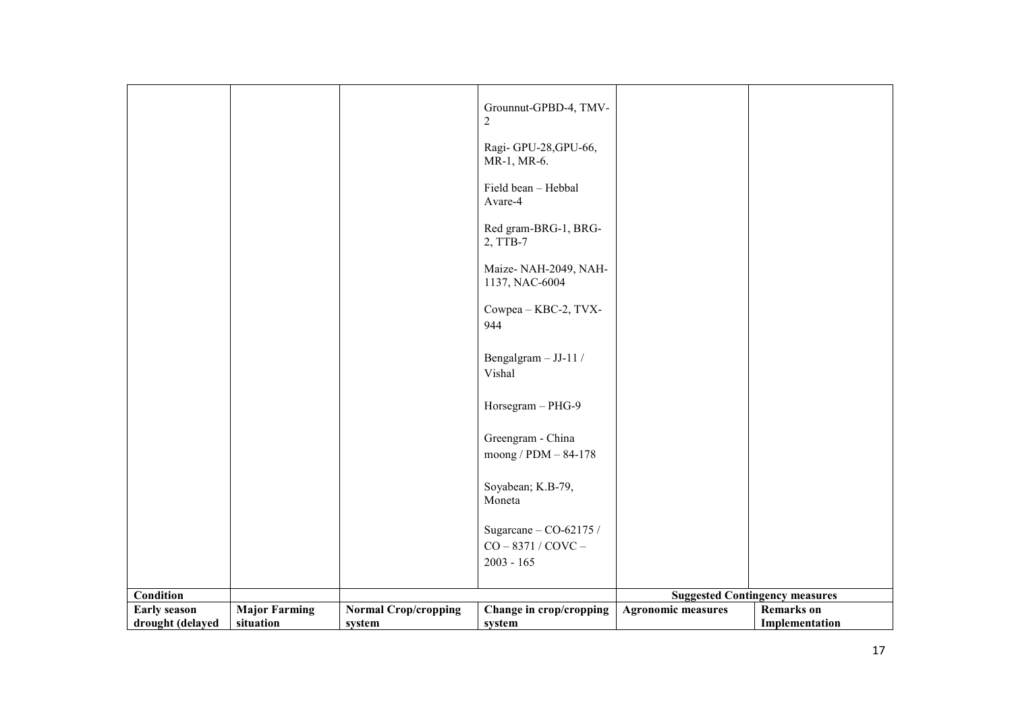|                     |                      |                             | Grounnut-GPBD-4, TMV-<br>$\overline{c}$          |                           |                                       |
|---------------------|----------------------|-----------------------------|--------------------------------------------------|---------------------------|---------------------------------------|
|                     |                      |                             | Ragi-GPU-28, GPU-66,<br>MR-1, MR-6.              |                           |                                       |
|                     |                      |                             | Field bean - Hebbal<br>Avare-4                   |                           |                                       |
|                     |                      |                             | Red gram-BRG-1, BRG-<br>2, TTB-7                 |                           |                                       |
|                     |                      |                             | Maize-NAH-2049, NAH-<br>1137, NAC-6004           |                           |                                       |
|                     |                      |                             | Cowpea - KBC-2, TVX-<br>944                      |                           |                                       |
|                     |                      |                             | Bengalgram - JJ-11 /<br>Vishal                   |                           |                                       |
|                     |                      |                             | Horsegram - PHG-9                                |                           |                                       |
|                     |                      |                             | Greengram - China<br>moong / PDM - 84-178        |                           |                                       |
|                     |                      |                             | Soyabean; K.B-79,<br>Moneta                      |                           |                                       |
|                     |                      |                             |                                                  |                           |                                       |
|                     |                      |                             | Sugarcane $-$ CO-62175 /<br>$CO - 8371 / COVC -$ |                           |                                       |
|                     |                      |                             | $2003 - 165$                                     |                           |                                       |
|                     |                      |                             |                                                  |                           |                                       |
| Condition           |                      |                             |                                                  |                           | <b>Suggested Contingency measures</b> |
| <b>Early season</b> | <b>Major Farming</b> | <b>Normal Crop/cropping</b> | Change in crop/cropping                          | <b>Agronomic measures</b> | <b>Remarks</b> on                     |
| drought (delayed    | situation            | system                      | system                                           |                           | Implementation                        |
|                     |                      |                             |                                                  |                           |                                       |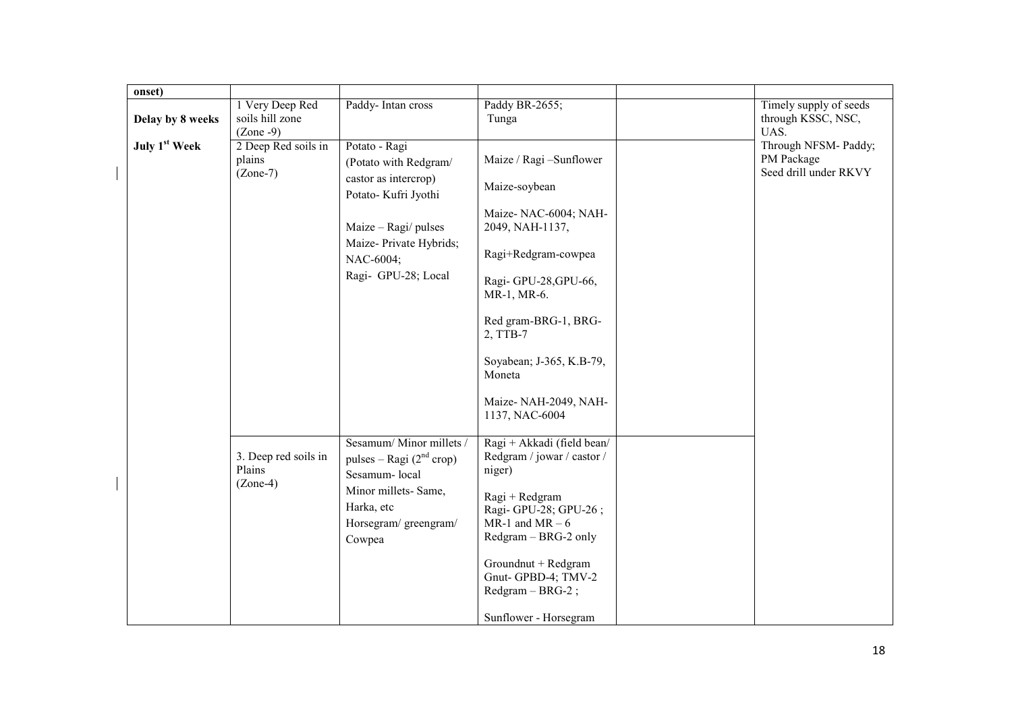| onset)                    |                                                   |                                                                                                                                                                              |                                                                                                                                                                                                                                                                       |                                                             |
|---------------------------|---------------------------------------------------|------------------------------------------------------------------------------------------------------------------------------------------------------------------------------|-----------------------------------------------------------------------------------------------------------------------------------------------------------------------------------------------------------------------------------------------------------------------|-------------------------------------------------------------|
| Delay by 8 weeks          | 1 Very Deep Red<br>soils hill zone<br>$(Zone -9)$ | Paddy-Intan cross                                                                                                                                                            | Paddy BR-2655;<br>Tunga                                                                                                                                                                                                                                               | Timely supply of seeds<br>through KSSC, NSC,<br>UAS.        |
| July 1 <sup>st</sup> Week | 2 Deep Red soils in<br>plains<br>$(Zone-7)$       | Potato - Ragi<br>(Potato with Redgram/<br>castor as intercrop)<br>Potato- Kufri Jyothi<br>Maize - Ragi/ pulses<br>Maize-Private Hybrids;<br>NAC-6004;<br>Ragi- GPU-28; Local | Maize / Ragi -Sunflower<br>Maize-soybean<br>Maize-NAC-6004; NAH-<br>2049, NAH-1137,<br>Ragi+Redgram-cowpea<br>Ragi-GPU-28, GPU-66,<br>MR-1, MR-6.<br>Red gram-BRG-1, BRG-<br>2, TTB-7<br>Soyabean; J-365, K.B-79,<br>Moneta<br>Maize-NAH-2049, NAH-<br>1137, NAC-6004 | Through NFSM- Paddy;<br>PM Package<br>Seed drill under RKVY |
|                           | 3. Deep red soils in<br>Plains<br>$(Zone-4)$      | Sesamum/Minor millets /<br>pulses – Ragi $(2nd crop)$<br>Sesamum-local<br>Minor millets-Same,<br>Harka, etc<br>Horsegram/greengram/<br>Cowpea                                | Ragi + Akkadi (field bean/<br>Redgram / jowar / castor /<br>niger)<br>Ragi + Redgram<br>Ragi-GPU-28; GPU-26;<br>$MR-1$ and $MR-6$<br>Redgram - BRG-2 only<br>Groundnut + Redgram<br>Gnut-GPBD-4; TMV-2<br>$Redgram - BRG-2$ ;<br>Sunflower - Horsegram                |                                                             |

 $\overline{1}$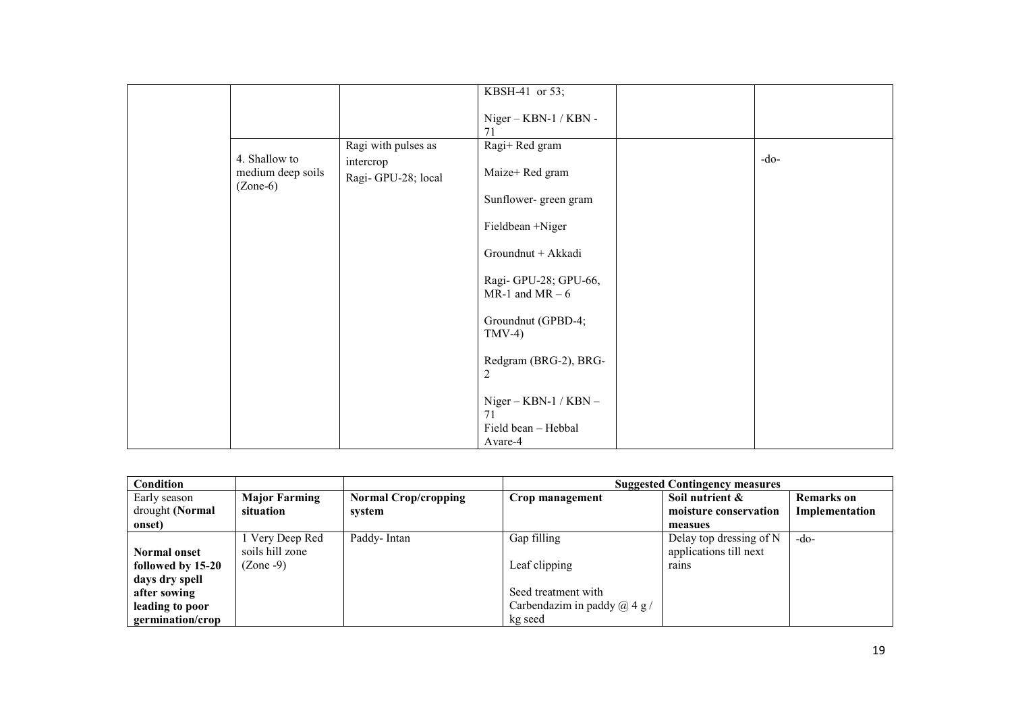|                                                  |                                 | KBSH-41 or 53;                                       |        |
|--------------------------------------------------|---------------------------------|------------------------------------------------------|--------|
|                                                  |                                 | Niger - KBN-1 / KBN -<br>71                          |        |
|                                                  | Ragi with pulses as             | Ragi+Red gram                                        |        |
| 4. Shallow to<br>medium deep soils<br>$(Zone-6)$ | intercrop<br>Ragi-GPU-28; local | Maize+ Red gram                                      | $-do-$ |
|                                                  |                                 | Sunflower-green gram                                 |        |
|                                                  |                                 | Fieldbean +Niger                                     |        |
|                                                  |                                 | Groundnut + Akkadi                                   |        |
|                                                  |                                 | Ragi-GPU-28; GPU-66,<br>MR-1 and MR $-6$             |        |
|                                                  |                                 | Groundnut (GPBD-4;<br>$TMV-4)$                       |        |
|                                                  |                                 | Redgram (BRG-2), BRG-<br>$\overline{c}$              |        |
|                                                  |                                 | $Niger - KBN-1 / KBN -$<br>71<br>Field bean - Hebbal |        |
|                                                  |                                 | Avare-4                                              |        |

| Condition                       |                                   |                                       | <b>Suggested Contingency measures</b> |                                          |                                     |
|---------------------------------|-----------------------------------|---------------------------------------|---------------------------------------|------------------------------------------|-------------------------------------|
| Early season<br>drought (Normal | <b>Major Farming</b><br>situation | <b>Normal Crop/cropping</b><br>system | Crop management                       | Soil nutrient &<br>moisture conservation | <b>Remarks</b> on<br>Implementation |
| onset)                          |                                   |                                       |                                       | measues                                  |                                     |
|                                 | Very Deep Red                     | Paddy-Intan                           | Gap filling                           | Delay top dressing of N                  | $-do-$                              |
| <b>Normal onset</b>             | soils hill zone                   |                                       |                                       | applications till next                   |                                     |
| followed by 15-20               | $(Zone -9)$                       |                                       | Leaf clipping                         | rains                                    |                                     |
| days dry spell                  |                                   |                                       |                                       |                                          |                                     |
| after sowing                    |                                   |                                       | Seed treatment with                   |                                          |                                     |
| leading to poor                 |                                   |                                       | Carbendazim in paddy $(a)$ 4 g /      |                                          |                                     |
| germination/crop                |                                   |                                       | kg seed                               |                                          |                                     |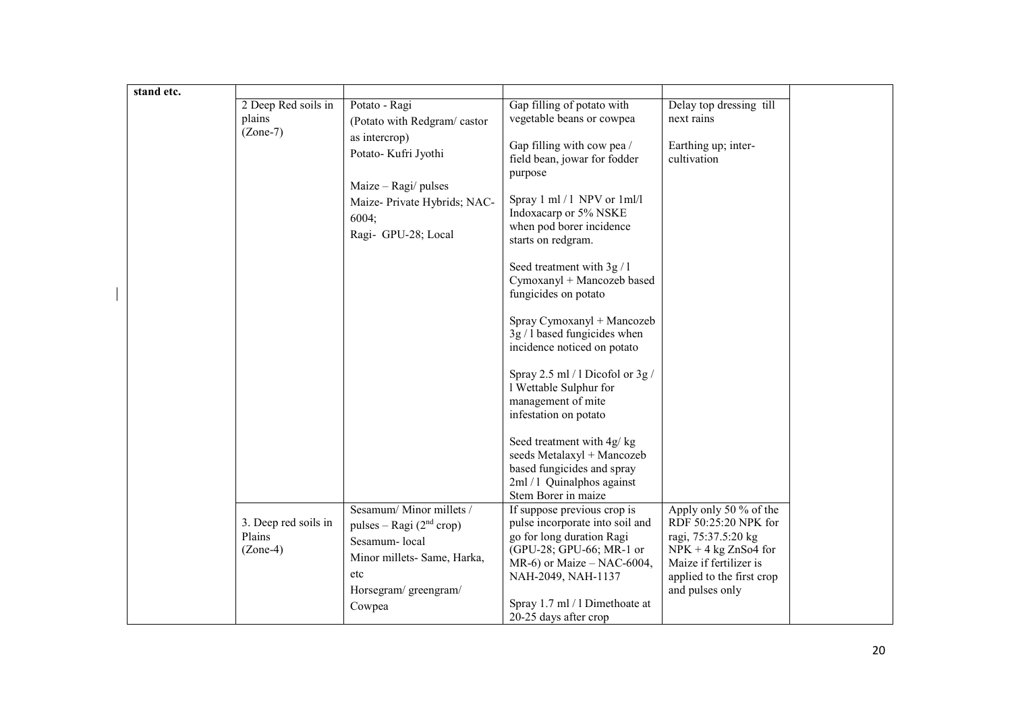| stand etc. |                               |                             |                                                            |                                                  |  |
|------------|-------------------------------|-----------------------------|------------------------------------------------------------|--------------------------------------------------|--|
|            | 2 Deep Red soils in<br>plains | Potato - Ragi               | Gap filling of potato with<br>vegetable beans or cowpea    | Delay top dressing till<br>next rains            |  |
|            | $(Zone-7)$                    | (Potato with Redgram/castor |                                                            |                                                  |  |
|            |                               | as intercrop)               | Gap filling with cow pea /                                 | Earthing up; inter-                              |  |
|            |                               | Potato- Kufri Jyothi        | field bean, jowar for fodder                               | cultivation                                      |  |
|            |                               |                             | purpose                                                    |                                                  |  |
|            |                               | $Maize - Ragi$ pulses       | Spray 1 ml / 1 NPV or 1 ml/l                               |                                                  |  |
|            |                               | Maize-Private Hybrids; NAC- | Indoxacarp or 5% NSKE                                      |                                                  |  |
|            |                               | 6004;                       | when pod borer incidence                                   |                                                  |  |
|            |                               | Ragi- GPU-28; Local         | starts on redgram.                                         |                                                  |  |
|            |                               |                             |                                                            |                                                  |  |
|            |                               |                             | Seed treatment with 3g / 1<br>Cymoxanyl + Mancozeb based   |                                                  |  |
|            |                               |                             | fungicides on potato                                       |                                                  |  |
|            |                               |                             |                                                            |                                                  |  |
|            |                               |                             | Spray Cymoxanyl + Mancozeb<br>$3g/1$ based fungicides when |                                                  |  |
|            |                               |                             | incidence noticed on potato                                |                                                  |  |
|            |                               |                             |                                                            |                                                  |  |
|            |                               |                             | Spray 2.5 ml / 1 Dicofol or $3g/$                          |                                                  |  |
|            |                               |                             | 1 Wettable Sulphur for                                     |                                                  |  |
|            |                               |                             | management of mite<br>infestation on potato                |                                                  |  |
|            |                               |                             |                                                            |                                                  |  |
|            |                               |                             | Seed treatment with 4g/ kg                                 |                                                  |  |
|            |                               |                             | seeds Metalaxyl + Mancozeb                                 |                                                  |  |
|            |                               |                             | based fungicides and spray<br>2ml / 1 Quinalphos against   |                                                  |  |
|            |                               |                             | Stem Borer in maize                                        |                                                  |  |
|            |                               | Sesamum/Minor millets /     | If suppose previous crop is                                | Apply only 50 % of the                           |  |
|            | 3. Deep red soils in          | pulses – Ragi $(2nd crop)$  | pulse incorporate into soil and                            | RDF 50:25:20 NPK for                             |  |
|            | Plains                        | Sesamum-local               | go for long duration Ragi                                  | ragi, 75:37.5:20 kg                              |  |
|            | $(Zone-4)$                    | Minor millets- Same, Harka, | (GPU-28; GPU-66; MR-1 or<br>MR-6) or Maize $-$ NAC-6004,   | $NPK + 4$ kg ZnSo4 for<br>Maize if fertilizer is |  |
|            |                               | etc                         | NAH-2049, NAH-1137                                         | applied to the first crop                        |  |
|            |                               | Horsegram/greengram/        |                                                            | and pulses only                                  |  |
|            |                               | Cowpea                      | Spray 1.7 ml / 1 Dimethoate at                             |                                                  |  |
|            |                               |                             | 20-25 days after crop                                      |                                                  |  |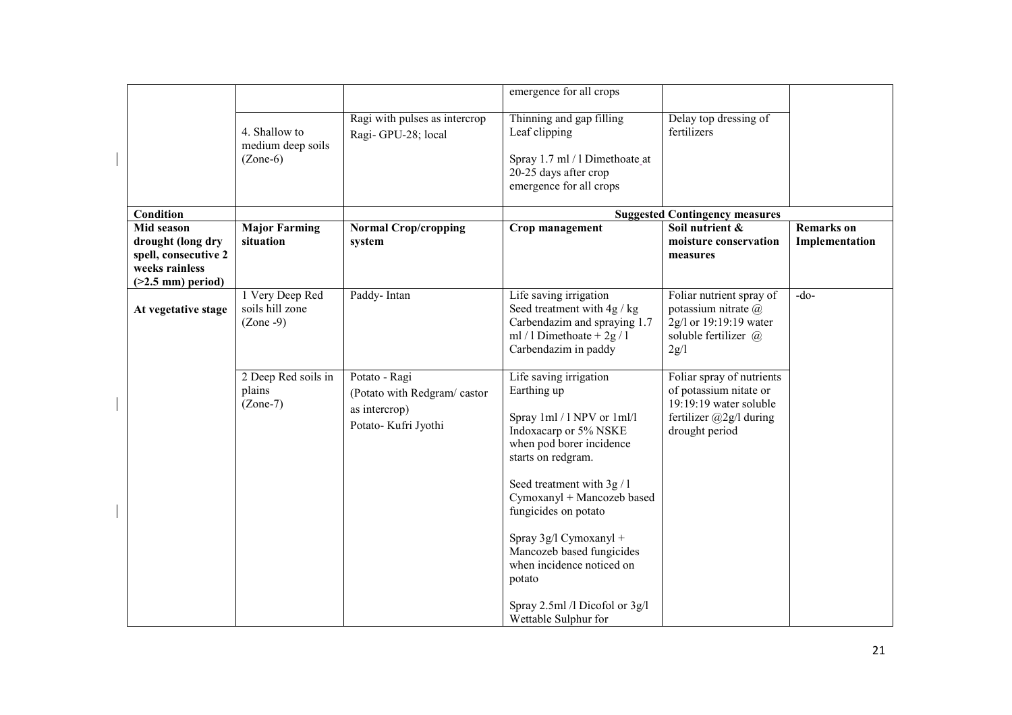|                                                                                                  |                                                   |                                                                                       | emergence for all crops                                                                                                                                                                                                                                                                                                                                                                    |                                                                                                                                   |                                     |
|--------------------------------------------------------------------------------------------------|---------------------------------------------------|---------------------------------------------------------------------------------------|--------------------------------------------------------------------------------------------------------------------------------------------------------------------------------------------------------------------------------------------------------------------------------------------------------------------------------------------------------------------------------------------|-----------------------------------------------------------------------------------------------------------------------------------|-------------------------------------|
|                                                                                                  | 4. Shallow to<br>medium deep soils<br>$(Zone-6)$  | Ragi with pulses as intercrop<br>Ragi-GPU-28; local                                   | Thinning and gap filling<br>Leaf clipping<br>Spray 1.7 ml / 1 Dimethoate_at<br>20-25 days after crop<br>emergence for all crops                                                                                                                                                                                                                                                            | Delay top dressing of<br>fertilizers                                                                                              |                                     |
| Condition                                                                                        |                                                   |                                                                                       |                                                                                                                                                                                                                                                                                                                                                                                            | <b>Suggested Contingency measures</b>                                                                                             |                                     |
| Mid season<br>drought (long dry<br>spell, consecutive 2<br>weeks rainless<br>$(>2.5$ mm) period) | <b>Major Farming</b><br>situation                 | <b>Normal Crop/cropping</b><br>system                                                 | Crop management                                                                                                                                                                                                                                                                                                                                                                            | Soil nutrient &<br>moisture conservation<br>measures                                                                              | <b>Remarks</b> on<br>Implementation |
| At vegetative stage                                                                              | 1 Very Deep Red<br>soils hill zone<br>$(Zone -9)$ | Paddy-Intan                                                                           | Life saving irrigation<br>Seed treatment with 4g / kg<br>Carbendazim and spraying 1.7<br>ml / 1 Dimethoate + $2g/1$<br>Carbendazim in paddy                                                                                                                                                                                                                                                | Foliar nutrient spray of<br>potassium nitrate @<br>2g/l or 19:19:19 water<br>soluble fertilizer @<br>2g/l                         | $-do-$                              |
|                                                                                                  | 2 Deep Red soils in<br>plains<br>$(Zone-7)$       | Potato - Ragi<br>(Potato with Redgram/castor<br>as intercrop)<br>Potato- Kufri Jyothi | Life saving irrigation<br>Earthing up<br>Spray 1ml / 1 NPV or 1ml/l<br>Indoxacarp or 5% NSKE<br>when pod borer incidence<br>starts on redgram.<br>Seed treatment with 3g / 1<br>Cymoxanyl + Mancozeb based<br>fungicides on potato<br>Spray 3g/l Cymoxanyl +<br>Mancozeb based fungicides<br>when incidence noticed on<br>potato<br>Spray 2.5ml /l Dicofol or 3g/l<br>Wettable Sulphur for | Foliar spray of nutrients<br>of potassium nitate or<br>$19:19:19$ water soluble<br>fertilizer $(a)$ 2g/l during<br>drought period |                                     |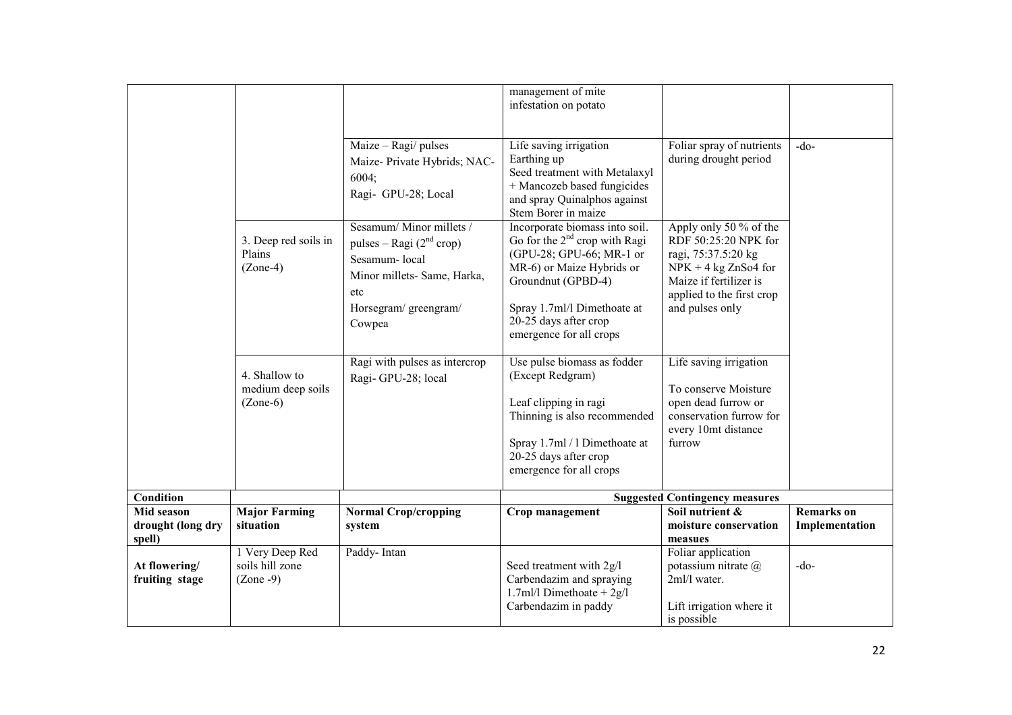|                                           |                                                   | Maize - Ragi/ pulses<br>Maize-Private Hybrids; NAC-                                                                                               | management of mite<br>infestation on potato<br>Life saving irrigation<br>Earthing up                                                                                                                                                   | Foliar spray of nutrients<br>during drought period                                                                                                                        | $-do-$                              |
|-------------------------------------------|---------------------------------------------------|---------------------------------------------------------------------------------------------------------------------------------------------------|----------------------------------------------------------------------------------------------------------------------------------------------------------------------------------------------------------------------------------------|---------------------------------------------------------------------------------------------------------------------------------------------------------------------------|-------------------------------------|
|                                           |                                                   | 6004;<br>Ragi- GPU-28; Local                                                                                                                      | Seed treatment with Metalaxyl<br>+ Mancozeb based fungicides<br>and spray Quinalphos against<br>Stem Borer in maize                                                                                                                    |                                                                                                                                                                           |                                     |
|                                           | 3. Deep red soils in<br>Plains<br>$(Zone-4)$      | Sesamum/Minor millets /<br>pulses – Ragi $(2^{nd}$ crop)<br>Sesamum-local<br>Minor millets- Same, Harka,<br>etc<br>Horsegram/greengram/<br>Cowpea | Incorporate biomass into soil.<br>Go for the $2^{nd}$ crop with Ragi<br>(GPU-28; GPU-66; MR-1 or<br>MR-6) or Maize Hybrids or<br>Groundnut (GPBD-4)<br>Spray 1.7ml/l Dimethoate at<br>20-25 days after crop<br>emergence for all crops | Apply only 50 % of the<br>RDF 50:25:20 NPK for<br>ragi, 75:37.5:20 kg<br>$NPK + 4$ kg ZnSo4 for<br>Maize if fertilizer is<br>applied to the first crop<br>and pulses only |                                     |
|                                           | 4. Shallow to<br>medium deep soils<br>$(Zone-6)$  | Ragi with pulses as intercrop<br>Ragi-GPU-28; local                                                                                               | Use pulse biomass as fodder<br>(Except Redgram)<br>Leaf clipping in ragi<br>Thinning is also recommended<br>Spray 1.7ml / 1 Dimethoate at<br>20-25 days after crop<br>emergence for all crops                                          | Life saving irrigation<br>To conserve Moisture<br>open dead furrow or<br>conservation furrow for<br>every 10mt distance<br>furrow                                         |                                     |
| <b>Condition</b>                          |                                                   |                                                                                                                                                   |                                                                                                                                                                                                                                        | <b>Suggested Contingency measures</b>                                                                                                                                     |                                     |
| Mid season<br>drought (long dry<br>spell) | <b>Major Farming</b><br>situation                 | <b>Normal Crop/cropping</b><br>system                                                                                                             | Crop management                                                                                                                                                                                                                        | Soil nutrient &<br>moisture conservation<br>measues                                                                                                                       | <b>Remarks</b> on<br>Implementation |
| At flowering/<br>fruiting stage           | 1 Very Deep Red<br>soils hill zone<br>$(Zone -9)$ | Paddy-Intan                                                                                                                                       | Seed treatment with 2g/l<br>Carbendazim and spraying<br>1.7ml/l Dimethoate + $2g/l$<br>Carbendazim in paddy                                                                                                                            | Foliar application<br>potassium nitrate @<br>2ml/l water.<br>Lift irrigation where it<br>is possible                                                                      | $-do-$                              |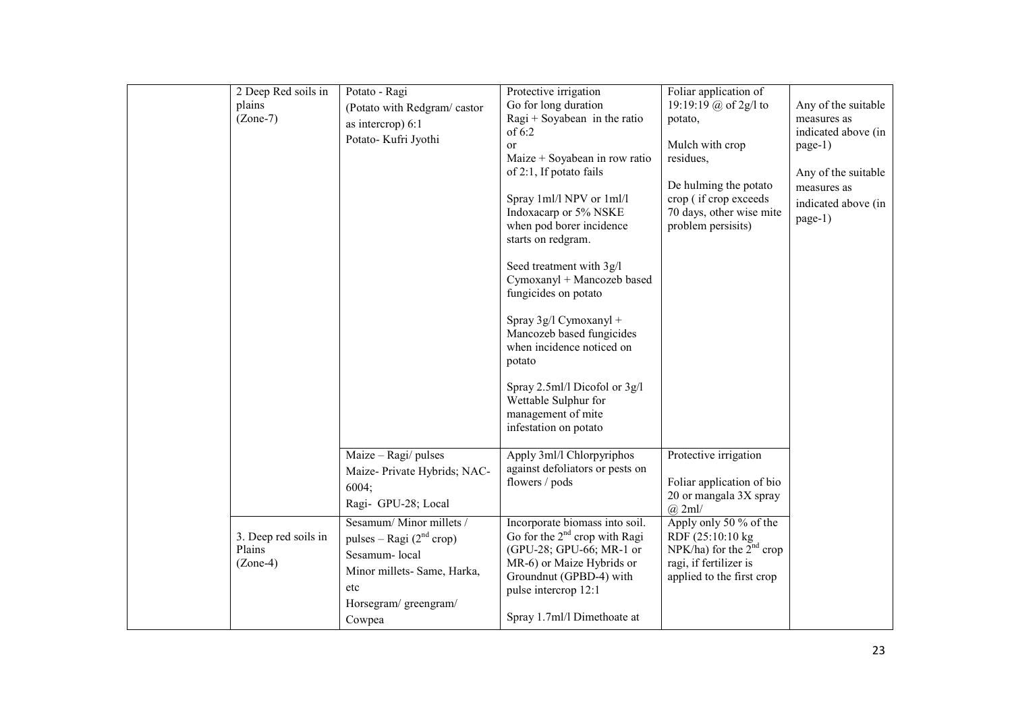| 2 Deep Red soils in  | Potato - Ragi               | Protective irrigation                                                          | Foliar application of                       |                     |
|----------------------|-----------------------------|--------------------------------------------------------------------------------|---------------------------------------------|---------------------|
| plains               | (Potato with Redgram/castor | Go for long duration                                                           | 19:19:19 @ of 2g/l to                       | Any of the suitable |
| $(Zone-7)$           | as intercrop) 6:1           | $Ragi + Soyabean$ in the ratio                                                 | potato,                                     | measures as         |
|                      | Potato- Kufri Jyothi        | of 6:2                                                                         |                                             | indicated above (in |
|                      |                             | <sub>or</sub>                                                                  | Mulch with crop                             | page-1)             |
|                      |                             | Maize + Soyabean in row ratio<br>of 2:1, If potato fails                       | residues,                                   | Any of the suitable |
|                      |                             |                                                                                | De hulming the potato                       | measures as         |
|                      |                             | Spray 1ml/l NPV or 1ml/l                                                       | crop (if crop exceeds                       | indicated above (in |
|                      |                             | Indoxacarp or 5% NSKE                                                          | 70 days, other wise mite                    |                     |
|                      |                             | when pod borer incidence                                                       | problem persisits)                          | page-1)             |
|                      |                             | starts on redgram.                                                             |                                             |                     |
|                      |                             | Seed treatment with 3g/l<br>Cymoxanyl + Mancozeb based<br>fungicides on potato |                                             |                     |
|                      |                             |                                                                                |                                             |                     |
|                      |                             | Spray 3g/l Cymoxanyl +                                                         |                                             |                     |
|                      |                             | Mancozeb based fungicides                                                      |                                             |                     |
|                      |                             | when incidence noticed on                                                      |                                             |                     |
|                      |                             | potato                                                                         |                                             |                     |
|                      |                             | Spray 2.5ml/l Dicofol or 3g/l                                                  |                                             |                     |
|                      |                             | Wettable Sulphur for                                                           |                                             |                     |
|                      |                             | management of mite                                                             |                                             |                     |
|                      |                             | infestation on potato                                                          |                                             |                     |
|                      | Maize - Ragi/ pulses        | Apply 3ml/l Chlorpyriphos                                                      | Protective irrigation                       |                     |
|                      | Maize-Private Hybrids; NAC- | against defoliators or pests on                                                |                                             |                     |
|                      | 6004:                       | flowers / pods                                                                 | Foliar application of bio                   |                     |
|                      | Ragi- GPU-28; Local         |                                                                                | 20 or mangala 3X spray                      |                     |
|                      |                             |                                                                                | $(a)$ 2ml/                                  |                     |
| 3. Deep red soils in | Sesamum/Minor millets /     | Incorporate biomass into soil.<br>Go for the $2^{nd}$ crop with Ragi           | Apply only 50 % of the<br>RDF (25:10:10 kg) |                     |
| Plains               | pulses – Ragi $(2nd crop)$  | (GPU-28; GPU-66; MR-1 or                                                       | NPK/ha) for the $2nd$ crop                  |                     |
| $(Zone-4)$           | Sesamum-local               | MR-6) or Maize Hybrids or                                                      | ragi, if fertilizer is                      |                     |
|                      | Minor millets- Same, Harka, | Groundnut (GPBD-4) with                                                        | applied to the first crop                   |                     |
|                      | etc                         | pulse intercrop 12:1                                                           |                                             |                     |
|                      | Horsegram/greengram/        |                                                                                |                                             |                     |
|                      | Cowpea                      | Spray 1.7ml/l Dimethoate at                                                    |                                             |                     |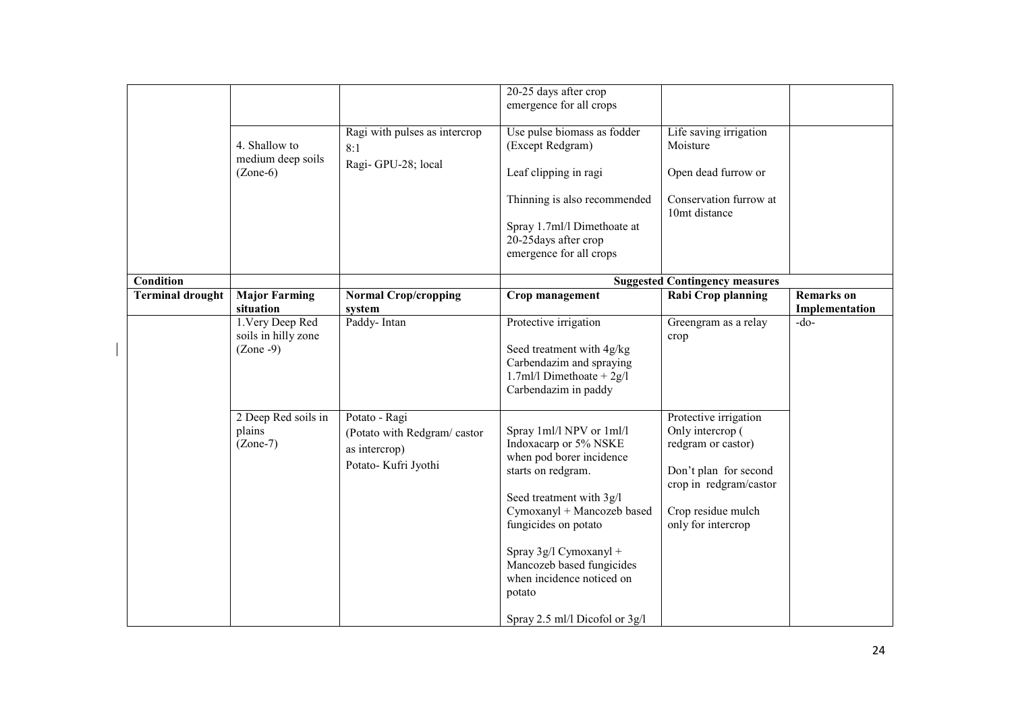| <b>Remarks</b> on |
|-------------------|
| Implementation    |
| $-do-$            |
|                   |
|                   |
|                   |
|                   |
|                   |
|                   |
|                   |
|                   |
|                   |
|                   |
|                   |
|                   |
|                   |
|                   |
|                   |
|                   |
|                   |
|                   |
|                   |
|                   |
|                   |
|                   |
|                   |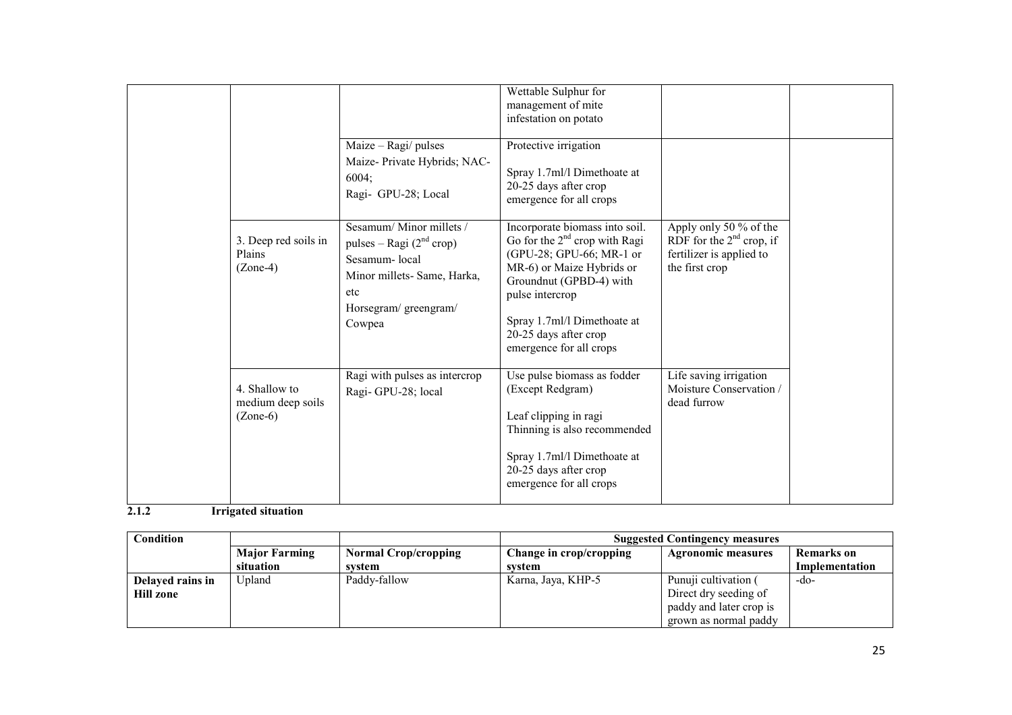|  |                                                  |                                                                                                                                               | Wettable Sulphur for<br>management of mite<br>infestation on potato                                                                                                                                                                                         |                                                                                                    |  |
|--|--------------------------------------------------|-----------------------------------------------------------------------------------------------------------------------------------------------|-------------------------------------------------------------------------------------------------------------------------------------------------------------------------------------------------------------------------------------------------------------|----------------------------------------------------------------------------------------------------|--|
|  |                                                  | Maize - Ragi/ pulses<br>Maize-Private Hybrids; NAC-<br>6004;<br>Ragi- GPU-28; Local                                                           | Protective irrigation<br>Spray 1.7ml/l Dimethoate at<br>20-25 days after crop<br>emergence for all crops                                                                                                                                                    |                                                                                                    |  |
|  | 3. Deep red soils in<br>Plains<br>$(Zone-4)$     | Sesamum/Minor millets/<br>pulses – Ragi $(2nd crop)$<br>Sesamum-local<br>Minor millets- Same, Harka,<br>etc<br>Horsegram/greengram/<br>Cowpea | Incorporate biomass into soil.<br>Go for the $2nd$ crop with Ragi<br>(GPU-28; GPU-66; MR-1 or<br>MR-6) or Maize Hybrids or<br>Groundnut (GPBD-4) with<br>pulse intercrop<br>Spray 1.7ml/l Dimethoate at<br>20-25 days after crop<br>emergence for all crops | Apply only 50 % of the<br>RDF for the $2nd$ crop, if<br>fertilizer is applied to<br>the first crop |  |
|  | 4. Shallow to<br>medium deep soils<br>$(Zone-6)$ | Ragi with pulses as intercrop<br>Ragi-GPU-28; local                                                                                           | Use pulse biomass as fodder<br>(Except Redgram)<br>Leaf clipping in ragi<br>Thinning is also recommended<br>Spray 1.7ml/l Dimethoate at<br>20-25 days after crop<br>emergence for all crops                                                                 | Life saving irrigation<br>Moisture Conservation /<br>dead furrow                                   |  |

# 2.1.2 Irrigated situation

| <b>Condition</b> |                      |                             | <b>Suggested Contingency measures</b>                |                         |                |  |
|------------------|----------------------|-----------------------------|------------------------------------------------------|-------------------------|----------------|--|
|                  | <b>Major Farming</b> | <b>Normal Crop/cropping</b> | Change in crop/cropping<br><b>Agronomic measures</b> |                         | Remarks on     |  |
|                  | situation            | svstem                      | system                                               |                         | Implementation |  |
| Delayed rains in | Upland               | Paddy-fallow                | Karna, Jaya, KHP-5                                   | Punuji cultivation (    | -do-           |  |
| <b>Hill zone</b> |                      |                             |                                                      | Direct dry seeding of   |                |  |
|                  |                      |                             |                                                      | paddy and later crop is |                |  |
|                  |                      |                             |                                                      | grown as normal paddy   |                |  |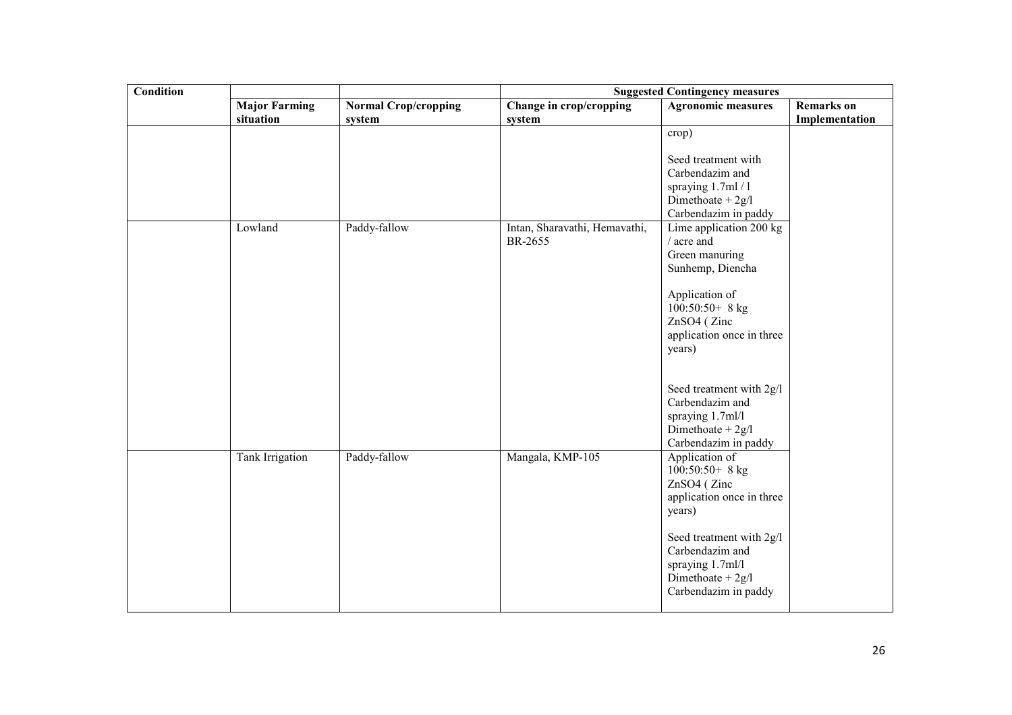| <b>Condition</b> |                      |                             | <b>Suggested Contingency measures</b>    |                                                                                                                |                   |
|------------------|----------------------|-----------------------------|------------------------------------------|----------------------------------------------------------------------------------------------------------------|-------------------|
|                  | <b>Major Farming</b> | <b>Normal Crop/cropping</b> | Change in crop/cropping                  | <b>Agronomic measures</b>                                                                                      | <b>Remarks</b> on |
|                  | situation            | system                      | system                                   |                                                                                                                | Implementation    |
|                  |                      |                             |                                          | crop)<br>Seed treatment with<br>Carbendazim and                                                                |                   |
|                  |                      |                             |                                          | spraying 1.7ml / 1<br>Dimethoate + $2g/l$                                                                      |                   |
|                  | Lowland              | Paddy-fallow                | Intan, Sharavathi, Hemavathi,<br>BR-2655 | Carbendazim in paddy<br>Lime application 200 kg<br>/ acre and<br>Green manuring<br>Sunhemp, Diencha            |                   |
|                  |                      |                             |                                          | Application of<br>$100:50:50+8$ kg<br>ZnSO4 (Zinc<br>application once in three<br>years)                       |                   |
|                  |                      |                             |                                          | Seed treatment with 2g/l<br>Carbendazim and<br>spraying 1.7ml/l<br>Dimethoate + $2g/l$<br>Carbendazim in paddy |                   |
|                  | Tank Irrigation      | Paddy-fallow                | Mangala, KMP-105                         | Application of<br>$100:50:50+8$ kg<br>ZnSO4 (Zinc<br>application once in three<br>years)                       |                   |
|                  |                      |                             |                                          | Seed treatment with 2g/l<br>Carbendazim and<br>spraying 1.7ml/l<br>Dimethoate $+2g/1$<br>Carbendazim in paddy  |                   |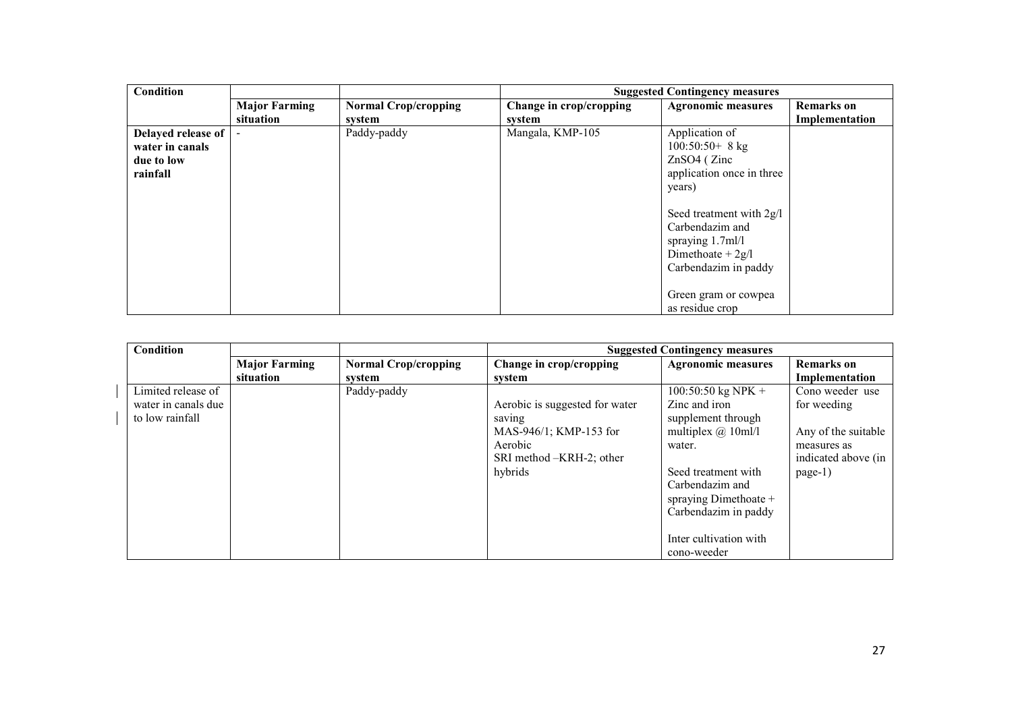| <b>Condition</b>   |                          |                             |                         | <b>Suggested Contingency measures</b> |                   |
|--------------------|--------------------------|-----------------------------|-------------------------|---------------------------------------|-------------------|
|                    | <b>Major Farming</b>     | <b>Normal Crop/cropping</b> | Change in crop/cropping | <b>Agronomic measures</b>             | <b>Remarks</b> on |
|                    | situation                | system                      | system                  |                                       | Implementation    |
| Delayed release of | $\overline{\phantom{a}}$ | Paddy-paddy                 | Mangala, KMP-105        | Application of                        |                   |
| water in canals    |                          |                             |                         | $100:50:50+8$ kg                      |                   |
| due to low         |                          |                             |                         | $ZnSO4$ ( $Zinc$                      |                   |
| rainfall           |                          |                             |                         | application once in three             |                   |
|                    |                          |                             |                         | years)                                |                   |
|                    |                          |                             |                         |                                       |                   |
|                    |                          |                             |                         | Seed treatment with 2g/l              |                   |
|                    |                          |                             |                         | Carbendazim and                       |                   |
|                    |                          |                             |                         | spraying 1.7ml/l                      |                   |
|                    |                          |                             |                         | Dimethoate + $2g/l$                   |                   |
|                    |                          |                             |                         | Carbendazim in paddy                  |                   |
|                    |                          |                             |                         |                                       |                   |
|                    |                          |                             |                         | Green gram or cowpea                  |                   |
|                    |                          |                             |                         | as residue crop                       |                   |

| Condition           |                      |                             |                                | <b>Suggested Contingency measures</b> |                     |
|---------------------|----------------------|-----------------------------|--------------------------------|---------------------------------------|---------------------|
|                     | <b>Major Farming</b> | <b>Normal Crop/cropping</b> | Change in crop/cropping        | <b>Agronomic measures</b>             | <b>Remarks</b> on   |
|                     | situation            | system                      | system                         |                                       | Implementation      |
| Limited release of  |                      | Paddy-paddy                 |                                | 100:50:50 kg NPK +                    | Cono weeder use     |
| water in canals due |                      |                             | Aerobic is suggested for water | Zinc and iron                         | for weeding         |
| to low rainfall     |                      |                             | saving                         | supplement through                    |                     |
|                     |                      |                             | $MAS-946/1$ ; KMP-153 for      | multiplex $(a)$ 10ml/l                | Any of the suitable |
|                     |                      |                             | Aerobic                        | water.                                | measures as         |
|                     |                      |                             | SRI method -KRH-2; other       |                                       | indicated above (in |
|                     |                      |                             | hybrids                        | Seed treatment with                   | page-1)             |
|                     |                      |                             |                                | Carbendazim and                       |                     |
|                     |                      |                             |                                | spraying Dimethoate +                 |                     |
|                     |                      |                             |                                | Carbendazim in paddy                  |                     |
|                     |                      |                             |                                |                                       |                     |
|                     |                      |                             |                                | Inter cultivation with                |                     |
|                     |                      |                             |                                | cono-weeder                           |                     |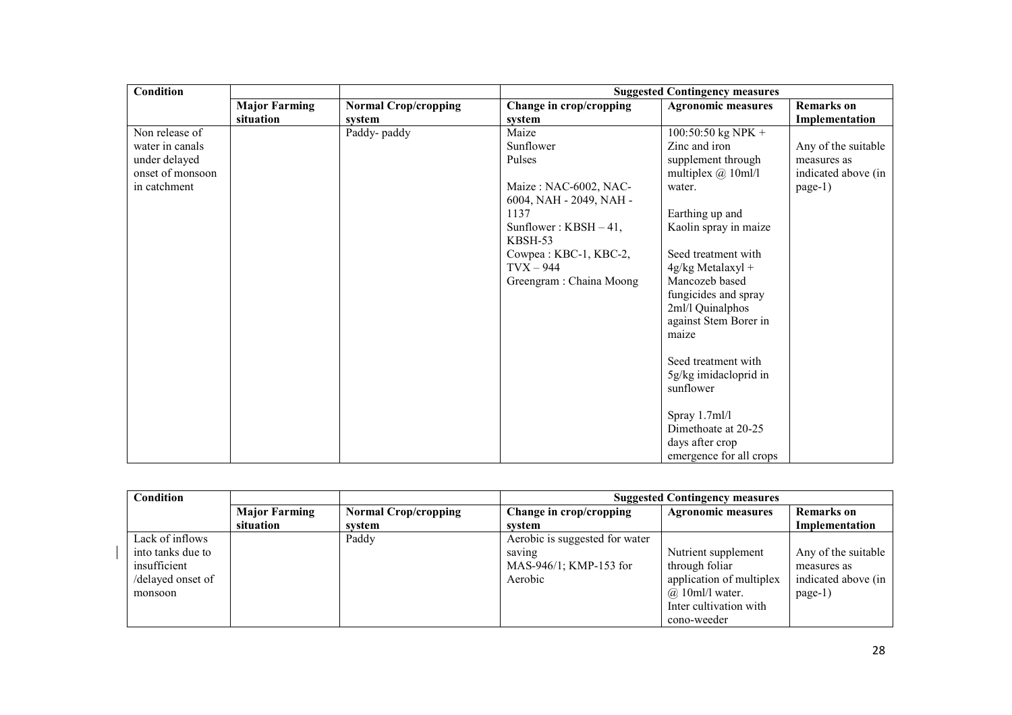| <b>Condition</b> |                      |                             | <b>Suggested Contingency measures</b> |                           |                     |  |
|------------------|----------------------|-----------------------------|---------------------------------------|---------------------------|---------------------|--|
|                  | <b>Major Farming</b> | <b>Normal Crop/cropping</b> | Change in crop/cropping               | <b>Agronomic measures</b> | <b>Remarks</b> on   |  |
|                  | situation            | system                      | system                                |                           | Implementation      |  |
| Non release of   |                      | Paddy-paddy                 | Maize                                 | $100:50:50$ kg NPK +      |                     |  |
| water in canals  |                      |                             | Sunflower                             | Zinc and iron             | Any of the suitable |  |
| under delayed    |                      |                             | Pulses                                | supplement through        | measures as         |  |
| onset of monsoon |                      |                             |                                       | multiplex $@$ 10ml/1      | indicated above (in |  |
| in catchment     |                      |                             | Maize: NAC-6002, NAC-                 | water.                    | page-1)             |  |
|                  |                      |                             | 6004, NAH - 2049, NAH -               |                           |                     |  |
|                  |                      |                             | 1137                                  | Earthing up and           |                     |  |
|                  |                      |                             | Sunflower: $KBSH-41$ ,                | Kaolin spray in maize     |                     |  |
|                  |                      |                             | KBSH-53                               |                           |                     |  |
|                  |                      |                             | Cowpea: KBC-1, KBC-2,                 | Seed treatment with       |                     |  |
|                  |                      |                             | $Tvx - 944$                           | $4g/kg$ Metalaxyl +       |                     |  |
|                  |                      |                             | Greengram : Chaina Moong              | Mancozeb based            |                     |  |
|                  |                      |                             |                                       | fungicides and spray      |                     |  |
|                  |                      |                             |                                       | 2ml/l Quinalphos          |                     |  |
|                  |                      |                             |                                       | against Stem Borer in     |                     |  |
|                  |                      |                             |                                       | maize                     |                     |  |
|                  |                      |                             |                                       |                           |                     |  |
|                  |                      |                             |                                       | Seed treatment with       |                     |  |
|                  |                      |                             |                                       | 5g/kg imidacloprid in     |                     |  |
|                  |                      |                             |                                       | sunflower                 |                     |  |
|                  |                      |                             |                                       |                           |                     |  |
|                  |                      |                             |                                       | Spray 1.7ml/l             |                     |  |
|                  |                      |                             |                                       | Dimethoate at 20-25       |                     |  |
|                  |                      |                             |                                       | days after crop           |                     |  |
|                  |                      |                             |                                       | emergence for all crops   |                     |  |

| Condition                                                                            |                      |                             | <b>Suggested Contingency measures</b>                                         |                                                                                                                                   |                                                                      |  |
|--------------------------------------------------------------------------------------|----------------------|-----------------------------|-------------------------------------------------------------------------------|-----------------------------------------------------------------------------------------------------------------------------------|----------------------------------------------------------------------|--|
|                                                                                      | <b>Major Farming</b> | <b>Normal Crop/cropping</b> | Change in crop/cropping                                                       | <b>Agronomic measures</b>                                                                                                         | <b>Remarks</b> on                                                    |  |
|                                                                                      | situation            | system                      | system                                                                        |                                                                                                                                   | Implementation                                                       |  |
| Lack of inflows<br>into tanks due to<br>insufficient<br>/delayed onset of<br>monsoon |                      | Paddy                       | Aerobic is suggested for water<br>saving<br>MAS-946/1; KMP-153 for<br>Aerobic | Nutrient supplement<br>through foliar<br>application of multiplex<br>$(a)$ 10ml/l water.<br>Inter cultivation with<br>cono-weeder | Any of the suitable<br>measures as<br>indicated above (in<br>page-1) |  |

 $\overline{1}$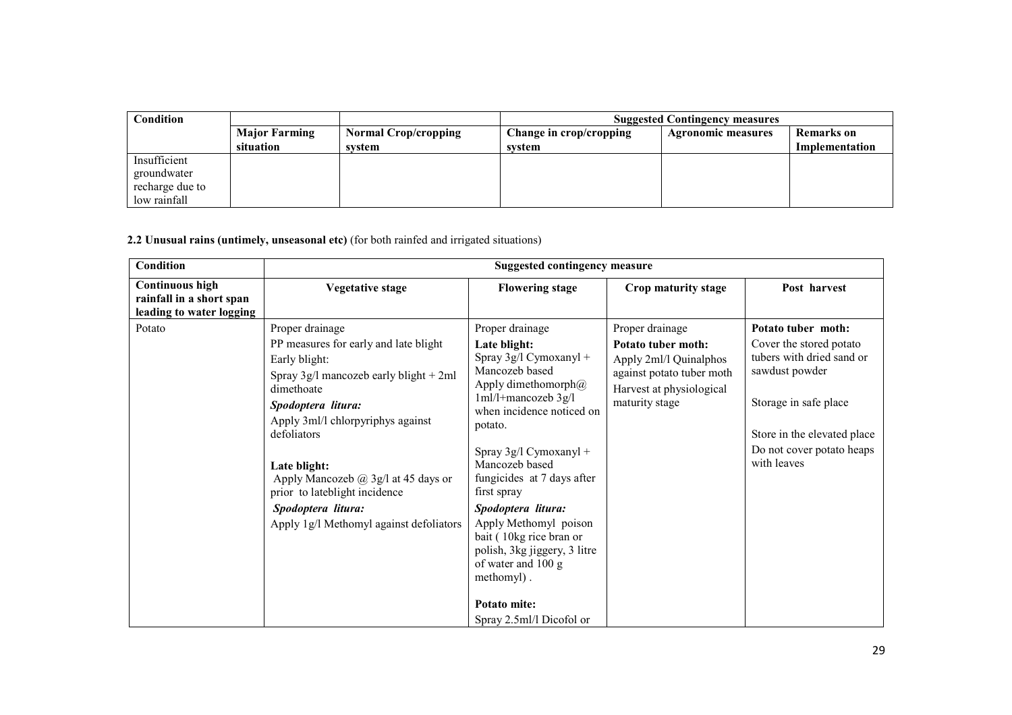| Condition       |                      |                             | <b>Suggested Contingency measures</b> |                           |                |  |
|-----------------|----------------------|-----------------------------|---------------------------------------|---------------------------|----------------|--|
|                 | <b>Major Farming</b> | <b>Normal Crop/cropping</b> | Change in crop/cropping               | <b>Agronomic measures</b> | Remarks on     |  |
|                 | situation            | system                      | system                                |                           | Implementation |  |
| Insufficient    |                      |                             |                                       |                           |                |  |
| groundwater     |                      |                             |                                       |                           |                |  |
| recharge due to |                      |                             |                                       |                           |                |  |
| low rainfall    |                      |                             |                                       |                           |                |  |

2.2 Unusual rains (untimely, unseasonal etc) (for both rainfed and irrigated situations)

| Condition                                                                      |                                                                                                                                                                                                                                                                                                                                                                               | <b>Suggested contingency measure</b>                                                                                                                                                                                                                                                                                                                                                                                                                      |                                                                                                                                            |                                                                                                                                                                                                  |
|--------------------------------------------------------------------------------|-------------------------------------------------------------------------------------------------------------------------------------------------------------------------------------------------------------------------------------------------------------------------------------------------------------------------------------------------------------------------------|-----------------------------------------------------------------------------------------------------------------------------------------------------------------------------------------------------------------------------------------------------------------------------------------------------------------------------------------------------------------------------------------------------------------------------------------------------------|--------------------------------------------------------------------------------------------------------------------------------------------|--------------------------------------------------------------------------------------------------------------------------------------------------------------------------------------------------|
| <b>Continuous high</b><br>rainfall in a short span<br>leading to water logging | <b>Vegetative stage</b>                                                                                                                                                                                                                                                                                                                                                       | <b>Flowering stage</b>                                                                                                                                                                                                                                                                                                                                                                                                                                    | Crop maturity stage                                                                                                                        | Post harvest                                                                                                                                                                                     |
| Potato                                                                         | Proper drainage<br>PP measures for early and late blight<br>Early blight:<br>Spray $3g/l$ mancozeb early blight + 2ml<br>dimethoate<br>Spodoptera litura:<br>Apply 3ml/l chlorpyriphys against<br>defoliators<br>Late blight:<br>Apply Mancozeb $\omega$ 3g/l at 45 days or<br>prior to lateblight incidence<br>Spodoptera litura:<br>Apply 1g/l Methomyl against defoliators | Proper drainage<br>Late blight:<br>Spray 3g/l Cymoxanyl +<br>Mancozeb based<br>Apply dimethomorph $@$<br>$1ml/l+mancozeb$ 3g/l<br>when incidence noticed on<br>potato.<br>Spray 3g/l Cymoxanyl +<br>Mancozeb based<br>fungicides at 7 days after<br>first spray<br>Spodoptera litura:<br>Apply Methomyl poison<br>bait (10kg rice bran or<br>polish, 3kg jiggery, 3 litre<br>of water and 100 g<br>methomyl).<br>Potato mite:<br>Spray 2.5ml/l Dicofol or | Proper drainage<br>Potato tuber moth:<br>Apply 2ml/l Quinalphos<br>against potato tuber moth<br>Harvest at physiological<br>maturity stage | Potato tuber moth:<br>Cover the stored potato<br>tubers with dried sand or<br>sawdust powder<br>Storage in safe place<br>Store in the elevated place<br>Do not cover potato heaps<br>with leaves |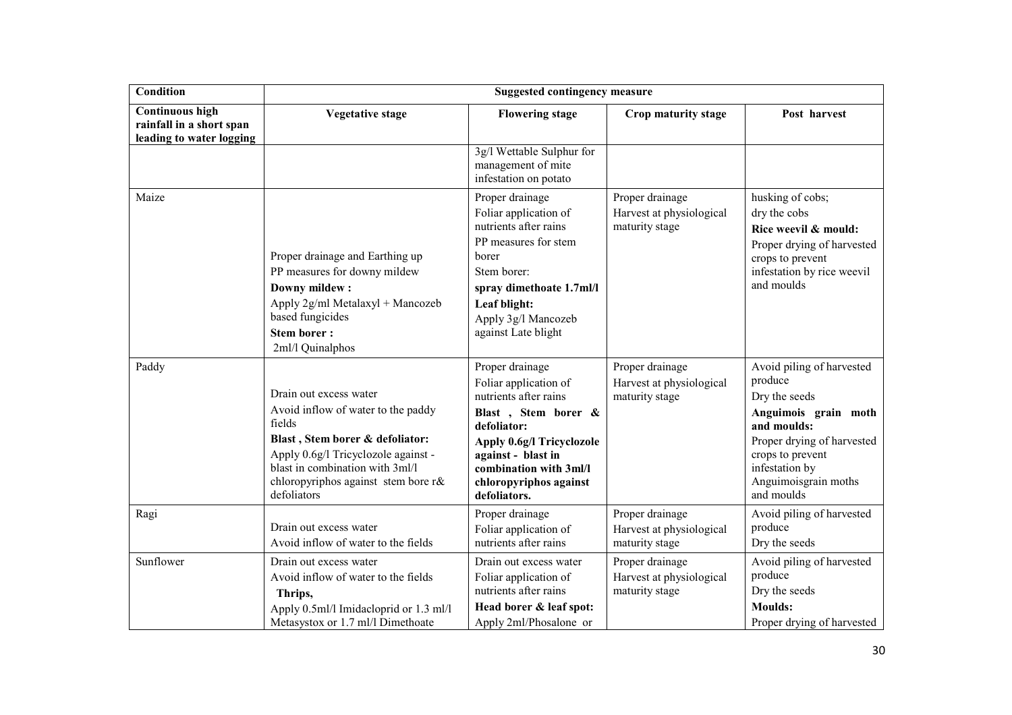| <b>Condition</b>                                                               |                                                                                                                                                                                                                                           | <b>Suggested contingency measure</b>                                                                                                                                                                                           |                                                               |                                                                                                                                                                                                        |
|--------------------------------------------------------------------------------|-------------------------------------------------------------------------------------------------------------------------------------------------------------------------------------------------------------------------------------------|--------------------------------------------------------------------------------------------------------------------------------------------------------------------------------------------------------------------------------|---------------------------------------------------------------|--------------------------------------------------------------------------------------------------------------------------------------------------------------------------------------------------------|
| <b>Continuous high</b><br>rainfall in a short span<br>leading to water logging | <b>Vegetative stage</b>                                                                                                                                                                                                                   | <b>Flowering stage</b>                                                                                                                                                                                                         | Crop maturity stage                                           | Post harvest                                                                                                                                                                                           |
|                                                                                |                                                                                                                                                                                                                                           | 3g/l Wettable Sulphur for<br>management of mite<br>infestation on potato                                                                                                                                                       |                                                               |                                                                                                                                                                                                        |
| Maize                                                                          | Proper drainage and Earthing up<br>PP measures for downy mildew<br>Downy mildew:<br>Apply 2g/ml Metalaxyl + Mancozeb<br>based fungicides<br><b>Stem borer:</b><br>2ml/l Quinalphos                                                        | Proper drainage<br>Foliar application of<br>nutrients after rains<br>PP measures for stem<br>borer<br>Stem borer:<br>spray dimethoate 1.7ml/l<br>Leaf blight:<br>Apply 3g/l Mancozeb<br>against Late blight                    | Proper drainage<br>Harvest at physiological<br>maturity stage | husking of cobs;<br>dry the cobs<br>Rice weevil & mould:<br>Proper drying of harvested<br>crops to prevent<br>infestation by rice weevil<br>and moulds                                                 |
| Paddy                                                                          | Drain out excess water<br>Avoid inflow of water to the paddy<br>fields<br>Blast, Stem borer & defoliator:<br>Apply 0.6g/l Tricyclozole against -<br>blast in combination with 3ml/l<br>chloropyriphos against stem bore r&<br>defoliators | Proper drainage<br>Foliar application of<br>nutrients after rains<br>Blast, Stem borer &<br>defoliator:<br>Apply 0.6g/l Tricyclozole<br>against - blast in<br>combination with 3ml/l<br>chloropyriphos against<br>defoliators. | Proper drainage<br>Harvest at physiological<br>maturity stage | Avoid piling of harvested<br>produce<br>Dry the seeds<br>Anguimois grain moth<br>and moulds:<br>Proper drying of harvested<br>crops to prevent<br>infestation by<br>Anguimoisgrain moths<br>and moulds |
| Ragi                                                                           | Drain out excess water<br>Avoid inflow of water to the fields                                                                                                                                                                             | Proper drainage<br>Foliar application of<br>nutrients after rains                                                                                                                                                              | Proper drainage<br>Harvest at physiological<br>maturity stage | Avoid piling of harvested<br>produce<br>Dry the seeds                                                                                                                                                  |
| Sunflower                                                                      | Drain out excess water<br>Avoid inflow of water to the fields<br>Thrips,<br>Apply 0.5ml/l Imidacloprid or 1.3 ml/l<br>Metasystox or 1.7 ml/l Dimethoate                                                                                   | Drain out excess water<br>Foliar application of<br>nutrients after rains<br>Head borer & leaf spot:<br>Apply 2ml/Phosalone or                                                                                                  | Proper drainage<br>Harvest at physiological<br>maturity stage | Avoid piling of harvested<br>produce<br>Dry the seeds<br><b>Moulds:</b><br>Proper drying of harvested                                                                                                  |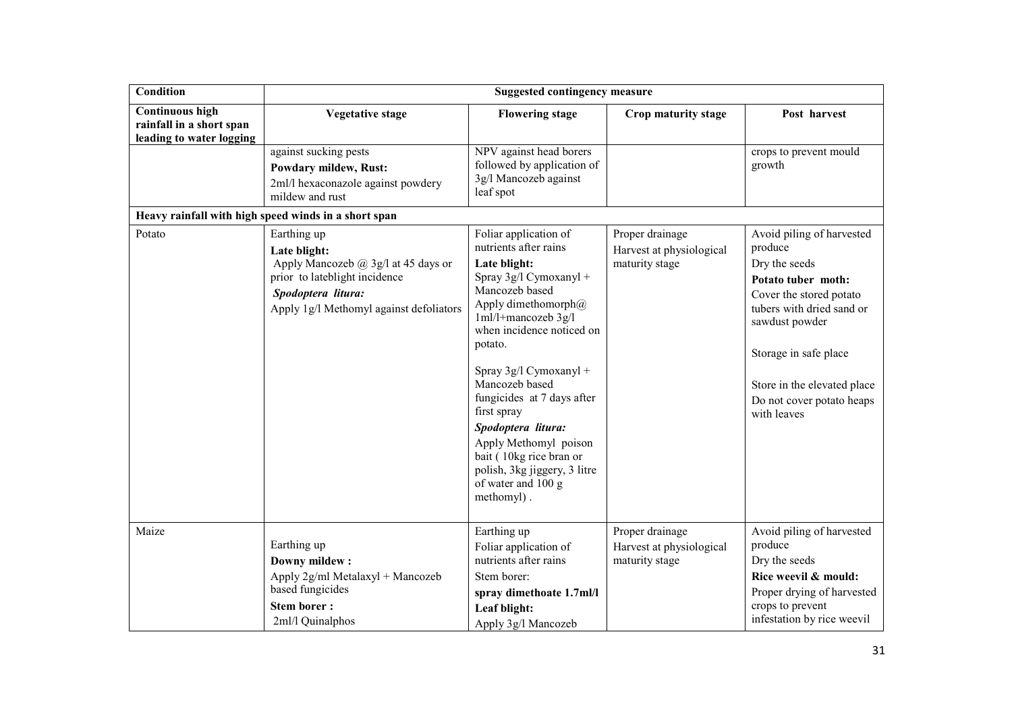| <b>Condition</b>                                                               |                                                                                                                                                                          | <b>Suggested contingency measure</b>                                                                                                                                                                                                                                                                                                                                                                                                       |                                                               |                                                                                                                                                                                                                                                           |
|--------------------------------------------------------------------------------|--------------------------------------------------------------------------------------------------------------------------------------------------------------------------|--------------------------------------------------------------------------------------------------------------------------------------------------------------------------------------------------------------------------------------------------------------------------------------------------------------------------------------------------------------------------------------------------------------------------------------------|---------------------------------------------------------------|-----------------------------------------------------------------------------------------------------------------------------------------------------------------------------------------------------------------------------------------------------------|
| <b>Continuous high</b><br>rainfall in a short span<br>leading to water logging | <b>Vegetative stage</b>                                                                                                                                                  | <b>Flowering stage</b>                                                                                                                                                                                                                                                                                                                                                                                                                     | Crop maturity stage                                           | Post harvest                                                                                                                                                                                                                                              |
|                                                                                | against sucking pests<br><b>Powdary mildew, Rust:</b><br>2ml/l hexaconazole against powdery<br>mildew and rust<br>Heavy rainfall with high speed winds in a short span   | NPV against head borers<br>followed by application of<br>3g/l Mancozeb against<br>leaf spot                                                                                                                                                                                                                                                                                                                                                |                                                               | crops to prevent mould<br>growth                                                                                                                                                                                                                          |
| Potato                                                                         | Earthing up<br>Late blight:<br>Apply Mancozeb $(a)$ 3g/l at 45 days or<br>prior to lateblight incidence<br>Spodoptera litura:<br>Apply 1g/l Methomyl against defoliators | Foliar application of<br>nutrients after rains<br>Late blight:<br>Spray 3g/l Cymoxanyl +<br>Mancozeb based<br>Apply dimethomorph $@$<br>1ml/l+mancozeb 3g/l<br>when incidence noticed on<br>potato.<br>Spray 3g/l Cymoxanyl +<br>Mancozeb based<br>fungicides at 7 days after<br>first spray<br>Spodoptera litura:<br>Apply Methomyl poison<br>bait (10kg rice bran or<br>polish, 3kg jiggery, 3 litre<br>of water and 100 g<br>methomyl). | Proper drainage<br>Harvest at physiological<br>maturity stage | Avoid piling of harvested<br>produce<br>Dry the seeds<br>Potato tuber moth:<br>Cover the stored potato<br>tubers with dried sand or<br>sawdust powder<br>Storage in safe place<br>Store in the elevated place<br>Do not cover potato heaps<br>with leaves |
| Maize                                                                          | Earthing up<br><b>Downy mildew:</b><br>Apply 2g/ml Metalaxyl + Mancozeb<br>based fungicides<br><b>Stem borer:</b><br>2ml/l Quinalphos                                    | Earthing up<br>Foliar application of<br>nutrients after rains<br>Stem borer:<br>spray dimethoate 1.7ml/l<br>Leaf blight:<br>Apply 3g/l Mancozeb                                                                                                                                                                                                                                                                                            | Proper drainage<br>Harvest at physiological<br>maturity stage | Avoid piling of harvested<br>produce<br>Dry the seeds<br>Rice weevil & mould:<br>Proper drying of harvested<br>crops to prevent<br>infestation by rice weevil                                                                                             |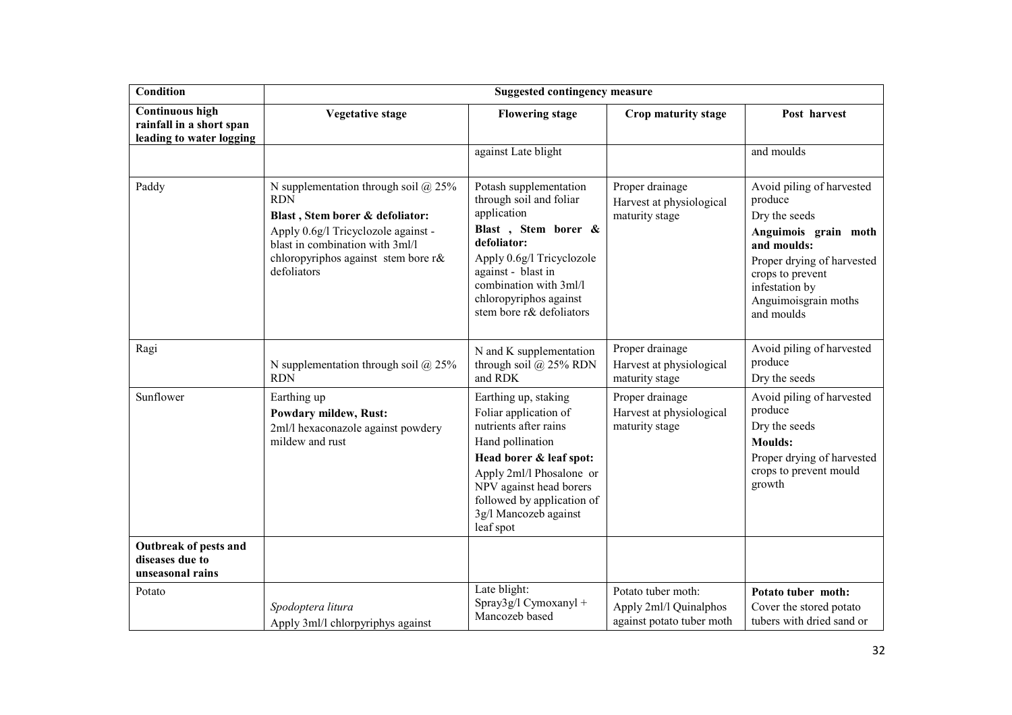| <b>Condition</b>                                                               |                                                                                                                                                                                                                         | <b>Suggested contingency measure</b>                                                                                                                                                                                                             |                                                                           |                                                                                                                                                                                                        |
|--------------------------------------------------------------------------------|-------------------------------------------------------------------------------------------------------------------------------------------------------------------------------------------------------------------------|--------------------------------------------------------------------------------------------------------------------------------------------------------------------------------------------------------------------------------------------------|---------------------------------------------------------------------------|--------------------------------------------------------------------------------------------------------------------------------------------------------------------------------------------------------|
| <b>Continuous high</b><br>rainfall in a short span<br>leading to water logging | <b>Vegetative stage</b>                                                                                                                                                                                                 | <b>Flowering stage</b>                                                                                                                                                                                                                           | Crop maturity stage                                                       | Post harvest                                                                                                                                                                                           |
|                                                                                |                                                                                                                                                                                                                         | against Late blight                                                                                                                                                                                                                              |                                                                           | and moulds                                                                                                                                                                                             |
| Paddy                                                                          | N supplementation through soil $@$ 25%<br><b>RDN</b><br>Blast, Stem borer & defoliator:<br>Apply 0.6g/l Tricyclozole against -<br>blast in combination with 3ml/l<br>chloropyriphos against stem bore r&<br>defoliators | Potash supplementation<br>through soil and foliar<br>application<br>Blast, Stem borer &<br>defoliator:<br>Apply 0.6g/l Tricyclozole<br>against - blast in<br>combination with 3ml/l<br>chloropyriphos against<br>stem bore r& defoliators        | Proper drainage<br>Harvest at physiological<br>maturity stage             | Avoid piling of harvested<br>produce<br>Dry the seeds<br>Anguimois grain moth<br>and moulds:<br>Proper drying of harvested<br>crops to prevent<br>infestation by<br>Anguimoisgrain moths<br>and moulds |
| Ragi                                                                           | N supplementation through soil $@$ 25%<br><b>RDN</b>                                                                                                                                                                    | N and K supplementation<br>through soil $@$ 25% RDN<br>and RDK                                                                                                                                                                                   | Proper drainage<br>Harvest at physiological<br>maturity stage             | Avoid piling of harvested<br>produce<br>Dry the seeds                                                                                                                                                  |
| Sunflower                                                                      | Earthing up<br><b>Powdary mildew, Rust:</b><br>2ml/l hexaconazole against powdery<br>mildew and rust                                                                                                                    | Earthing up, staking<br>Foliar application of<br>nutrients after rains<br>Hand pollination<br>Head borer & leaf spot:<br>Apply 2ml/l Phosalone or<br>NPV against head borers<br>followed by application of<br>3g/l Mancozeb against<br>leaf spot | Proper drainage<br>Harvest at physiological<br>maturity stage             | Avoid piling of harvested<br>produce<br>Dry the seeds<br><b>Moulds:</b><br>Proper drying of harvested<br>crops to prevent mould<br>growth                                                              |
| Outbreak of pests and<br>diseases due to<br>unseasonal rains                   |                                                                                                                                                                                                                         |                                                                                                                                                                                                                                                  |                                                                           |                                                                                                                                                                                                        |
| Potato                                                                         | Spodoptera litura<br>Apply 3ml/l chlorpyriphys against                                                                                                                                                                  | Late blight:<br>Spray3g/l Cymoxanyl +<br>Mancozeb based                                                                                                                                                                                          | Potato tuber moth:<br>Apply 2ml/l Quinalphos<br>against potato tuber moth | Potato tuber moth:<br>Cover the stored potato<br>tubers with dried sand or                                                                                                                             |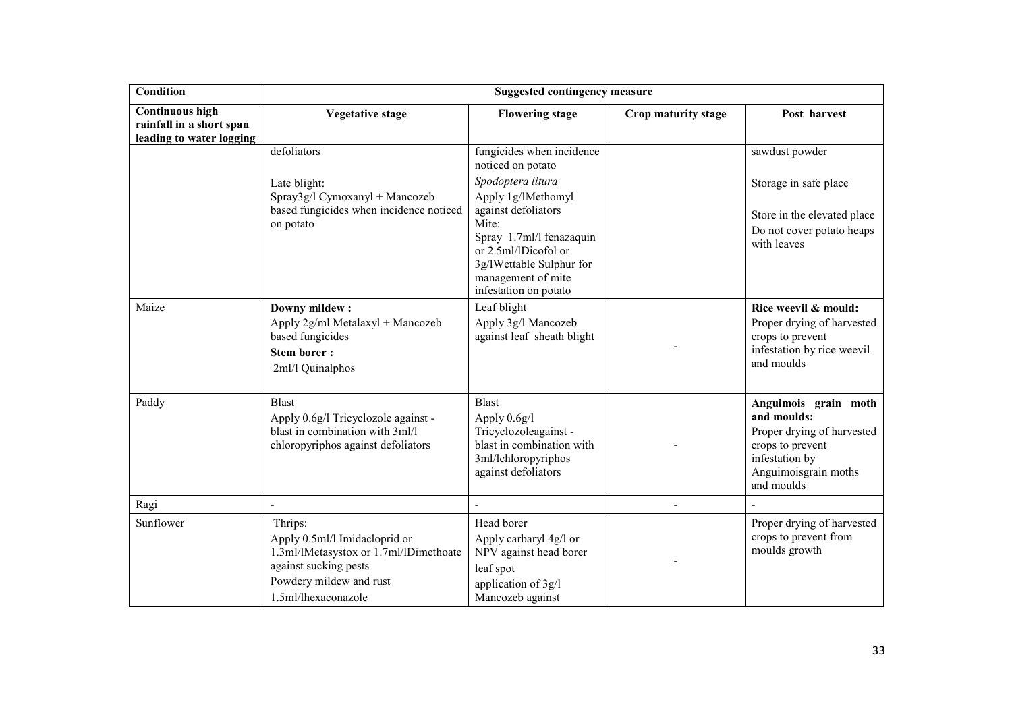| <b>Condition</b>                                                               |                                                                                                                                                               | <b>Suggested contingency measure</b>                                                                                                                        |                     |                                                                                                                                               |
|--------------------------------------------------------------------------------|---------------------------------------------------------------------------------------------------------------------------------------------------------------|-------------------------------------------------------------------------------------------------------------------------------------------------------------|---------------------|-----------------------------------------------------------------------------------------------------------------------------------------------|
| <b>Continuous high</b><br>rainfall in a short span<br>leading to water logging | <b>Vegetative stage</b>                                                                                                                                       | <b>Flowering stage</b>                                                                                                                                      | Crop maturity stage | Post harvest                                                                                                                                  |
|                                                                                | defoliators                                                                                                                                                   | fungicides when incidence<br>noticed on potato                                                                                                              |                     | sawdust powder                                                                                                                                |
|                                                                                | Late blight:<br>Spray3g/l Cymoxanyl + Mancozeb                                                                                                                | Spodoptera litura<br>Apply 1g/lMethomyl                                                                                                                     |                     | Storage in safe place                                                                                                                         |
|                                                                                | based fungicides when incidence noticed<br>on potato                                                                                                          | against defoliators<br>Mite:<br>Spray 1.7ml/l fenazaquin<br>or 2.5ml/lDicofol or<br>3g/lWettable Sulphur for<br>management of mite<br>infestation on potato |                     | Store in the elevated place<br>Do not cover potato heaps<br>with leaves                                                                       |
| Maize                                                                          | Downy mildew:<br>Apply 2g/ml Metalaxyl + Mancozeb<br>based fungicides<br><b>Stem borer:</b><br>2ml/l Quinalphos                                               | Leaf blight<br>Apply 3g/l Mancozeb<br>against leaf sheath blight                                                                                            |                     | Rice weevil & mould:<br>Proper drying of harvested<br>crops to prevent<br>infestation by rice weevil<br>and moulds                            |
| Paddy                                                                          | <b>Blast</b><br>Apply 0.6g/l Tricyclozole against -<br>blast in combination with 3ml/l<br>chloropyriphos against defoliators                                  | <b>Blast</b><br>Apply 0.6g/l<br>Tricyclozoleagainst -<br>blast in combination with<br>3ml/lchloropyriphos<br>against defoliators                            |                     | Anguimois grain moth<br>and moulds:<br>Proper drying of harvested<br>crops to prevent<br>infestation by<br>Anguimoisgrain moths<br>and moulds |
| Ragi                                                                           | $\blacksquare$                                                                                                                                                |                                                                                                                                                             | $\overline{a}$      |                                                                                                                                               |
| Sunflower                                                                      | Thrips:<br>Apply 0.5ml/l Imidacloprid or<br>1.3ml/lMetasystox or 1.7ml/lDimethoate<br>against sucking pests<br>Powdery mildew and rust<br>1.5ml/lhexaconazole | Head borer<br>Apply carbaryl 4g/l or<br>NPV against head borer<br>leaf spot<br>application of 3g/l<br>Mancozeb against                                      |                     | Proper drying of harvested<br>crops to prevent from<br>moulds growth                                                                          |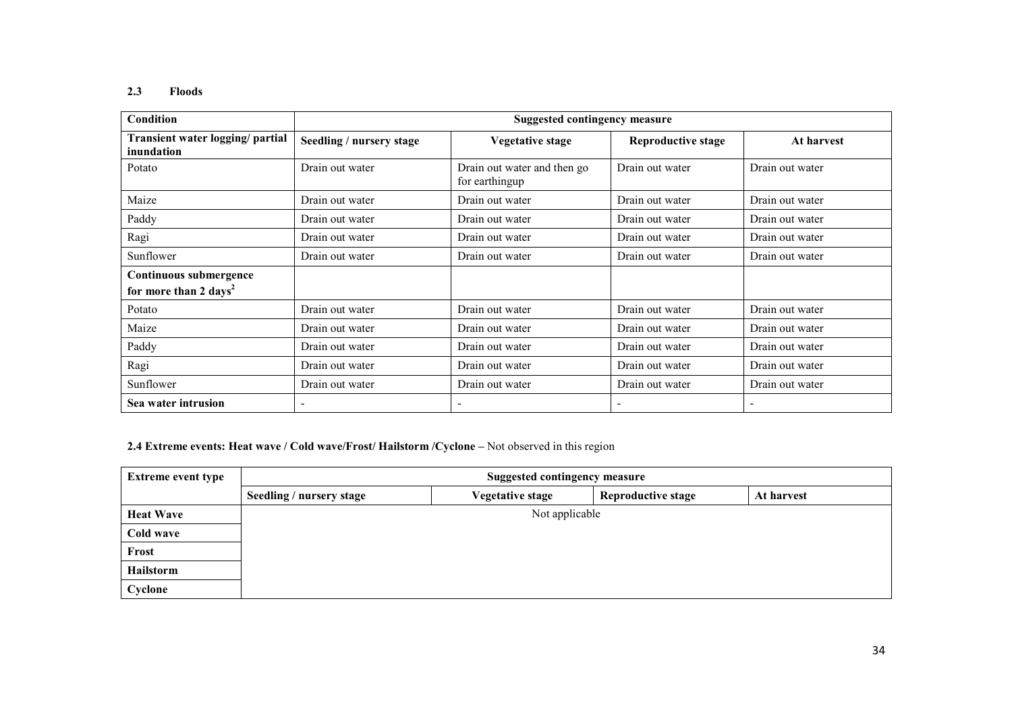# 2.3 Floods

| Condition                                                   | <b>Suggested contingency measure</b> |                                               |                           |                 |
|-------------------------------------------------------------|--------------------------------------|-----------------------------------------------|---------------------------|-----------------|
| Transient water logging/partial<br>inundation               | Seedling / nursery stage             | <b>Vegetative stage</b>                       | <b>Reproductive stage</b> | At harvest      |
| Potato                                                      | Drain out water                      | Drain out water and then go<br>for earthingup | Drain out water           | Drain out water |
| Maize                                                       | Drain out water                      | Drain out water                               | Drain out water           | Drain out water |
| Paddy                                                       | Drain out water                      | Drain out water                               | Drain out water           | Drain out water |
| Ragi                                                        | Drain out water                      | Drain out water                               | Drain out water           | Drain out water |
| Sunflower                                                   | Drain out water                      | Drain out water                               | Drain out water           | Drain out water |
| Continuous submergence<br>for more than 2 days <sup>2</sup> |                                      |                                               |                           |                 |
| Potato                                                      | Drain out water                      | Drain out water                               | Drain out water           | Drain out water |
| Maize                                                       | Drain out water                      | Drain out water                               | Drain out water           | Drain out water |
| Paddy                                                       | Drain out water                      | Drain out water                               | Drain out water           | Drain out water |
| Ragi                                                        | Drain out water                      | Drain out water                               | Drain out water           | Drain out water |
| Sunflower                                                   | Drain out water                      | Drain out water                               | Drain out water           | Drain out water |
| Sea water intrusion                                         | $\overline{\phantom{0}}$             |                                               |                           |                 |

2.4 Extreme events: Heat wave / Cold wave/Frost/ Hailstorm /Cyclone – Not observed in this region

| <b>Extreme event type</b> | <b>Suggested contingency measure</b> |                  |                           |            |  |
|---------------------------|--------------------------------------|------------------|---------------------------|------------|--|
|                           | Seedling / nursery stage             | Vegetative stage | <b>Reproductive stage</b> | At harvest |  |
| <b>Heat Wave</b>          | Not applicable                       |                  |                           |            |  |
| Cold wave                 |                                      |                  |                           |            |  |
| Frost                     |                                      |                  |                           |            |  |
| Hailstorm                 |                                      |                  |                           |            |  |
| Cyclone                   |                                      |                  |                           |            |  |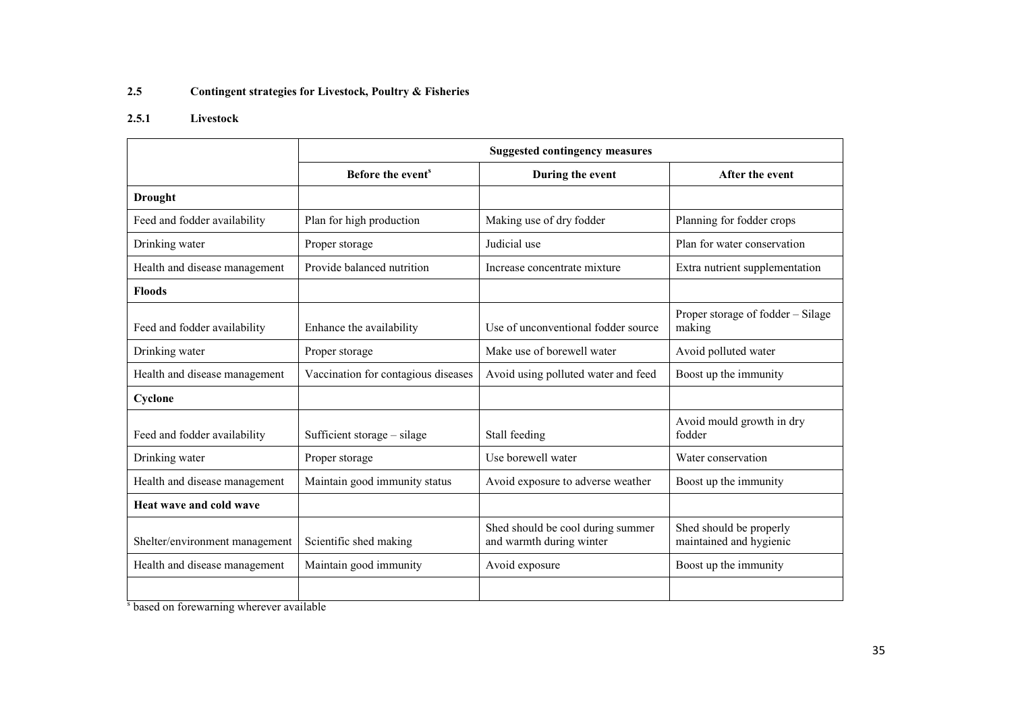#### 2.5Contingent strategies for Livestock, Poultry & Fisheries

#### 2.5.1 Livestock

|                                | <b>Suggested contingency measures</b> |                                                               |                                                    |  |
|--------------------------------|---------------------------------------|---------------------------------------------------------------|----------------------------------------------------|--|
|                                | Before the event <sup>s</sup>         | During the event                                              | After the event                                    |  |
| <b>Drought</b>                 |                                       |                                                               |                                                    |  |
| Feed and fodder availability   | Plan for high production              | Making use of dry fodder                                      | Planning for fodder crops                          |  |
| Drinking water                 | Proper storage                        | Judicial use                                                  | Plan for water conservation                        |  |
| Health and disease management  | Provide balanced nutrition            | Increase concentrate mixture                                  | Extra nutrient supplementation                     |  |
| <b>Floods</b>                  |                                       |                                                               |                                                    |  |
| Feed and fodder availability   | Enhance the availability              | Use of unconventional fodder source                           | Proper storage of fodder – Silage<br>making        |  |
| Drinking water                 | Proper storage                        | Make use of borewell water                                    | Avoid polluted water                               |  |
| Health and disease management  | Vaccination for contagious diseases   | Avoid using polluted water and feed                           | Boost up the immunity                              |  |
| Cyclone                        |                                       |                                                               |                                                    |  |
| Feed and fodder availability   | Sufficient storage – silage           | Stall feeding                                                 | Avoid mould growth in dry<br>fodder                |  |
| Drinking water                 | Proper storage                        | Use borewell water                                            | Water conservation                                 |  |
| Health and disease management  | Maintain good immunity status         | Avoid exposure to adverse weather                             | Boost up the immunity                              |  |
| Heat wave and cold wave        |                                       |                                                               |                                                    |  |
| Shelter/environment management | Scientific shed making                | Shed should be cool during summer<br>and warmth during winter | Shed should be properly<br>maintained and hygienic |  |
| Health and disease management  | Maintain good immunity                | Avoid exposure                                                | Boost up the immunity                              |  |
|                                |                                       |                                                               |                                                    |  |

s based on forewarning wherever available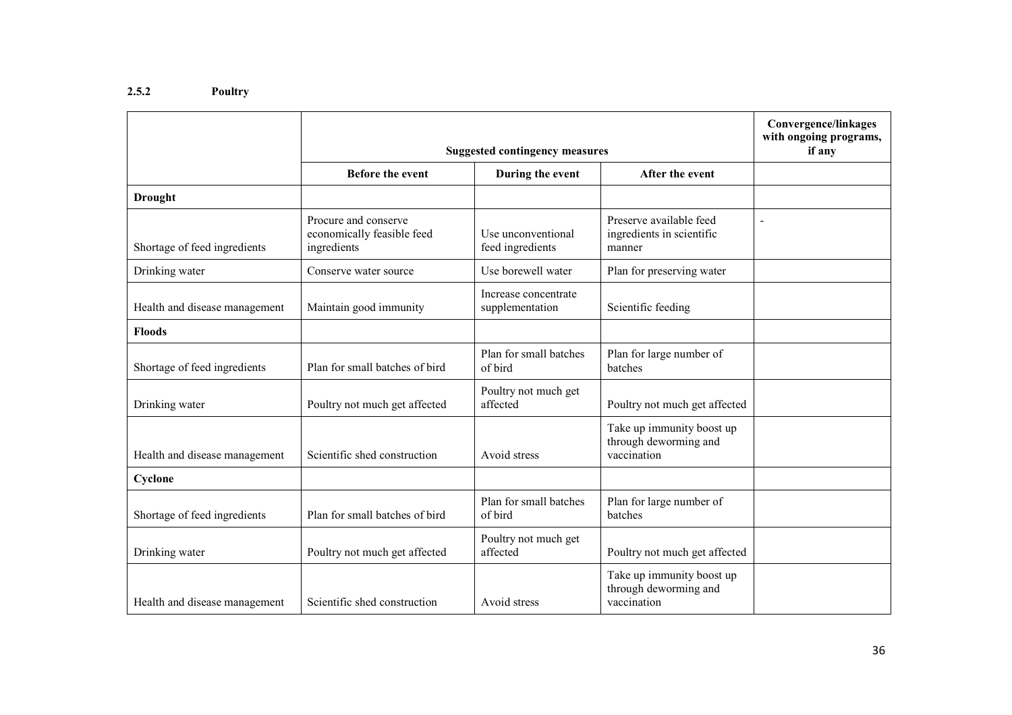# 2.5.2 Poultry

|                               | <b>Suggested contingency measures</b>                             | <b>Convergence/linkages</b><br>with ongoing programs,<br>if any |                                                                   |  |
|-------------------------------|-------------------------------------------------------------------|-----------------------------------------------------------------|-------------------------------------------------------------------|--|
|                               | <b>Before the event</b>                                           | During the event                                                | After the event                                                   |  |
| <b>Drought</b>                |                                                                   |                                                                 |                                                                   |  |
| Shortage of feed ingredients  | Procure and conserve<br>economically feasible feed<br>ingredients | Use unconventional<br>feed ingredients                          | Preserve available feed<br>ingredients in scientific<br>manner    |  |
| Drinking water                | Conserve water source                                             | Use borewell water                                              | Plan for preserving water                                         |  |
| Health and disease management | Maintain good immunity                                            | Increase concentrate<br>supplementation                         | Scientific feeding                                                |  |
| <b>Floods</b>                 |                                                                   |                                                                 |                                                                   |  |
| Shortage of feed ingredients  | Plan for small batches of bird                                    | Plan for small batches<br>of bird                               | Plan for large number of<br>batches                               |  |
| Drinking water                | Poultry not much get affected                                     | Poultry not much get<br>affected                                | Poultry not much get affected                                     |  |
| Health and disease management | Scientific shed construction                                      | Avoid stress                                                    | Take up immunity boost up<br>through deworming and<br>vaccination |  |
| Cyclone                       |                                                                   |                                                                 |                                                                   |  |
| Shortage of feed ingredients  | Plan for small batches of bird                                    | Plan for small batches<br>of bird                               | Plan for large number of<br>batches                               |  |
| Drinking water                | Poultry not much get affected                                     | Poultry not much get<br>affected                                | Poultry not much get affected                                     |  |
| Health and disease management | Scientific shed construction                                      | Avoid stress                                                    | Take up immunity boost up<br>through deworming and<br>vaccination |  |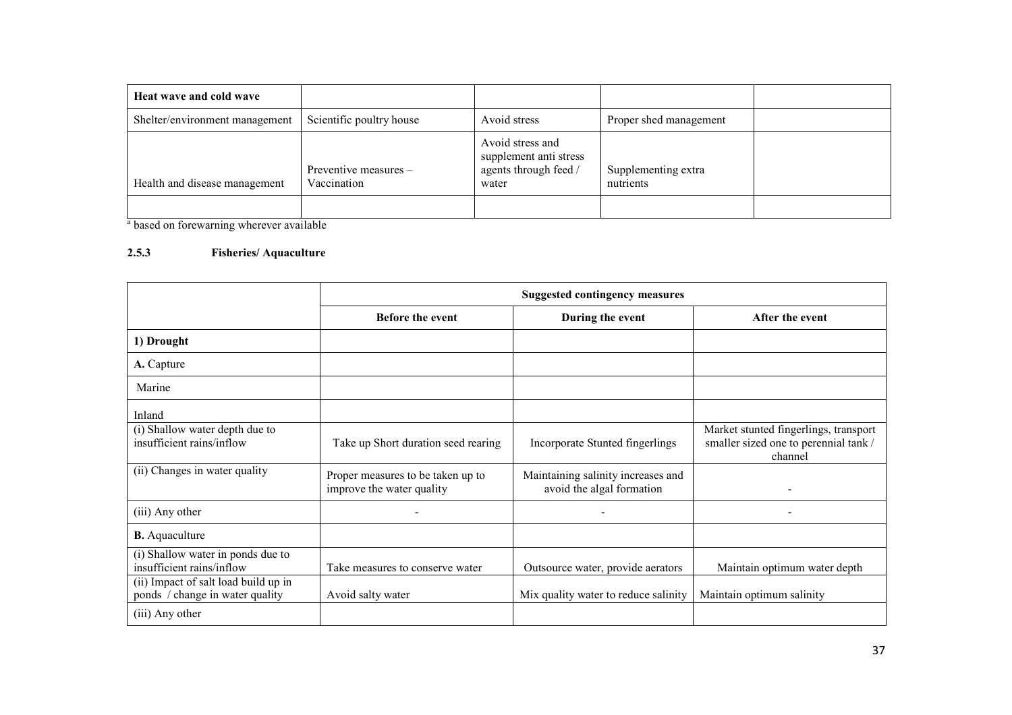| Heat wave and cold wave        |                                      |                                                                              |                                  |  |
|--------------------------------|--------------------------------------|------------------------------------------------------------------------------|----------------------------------|--|
| Shelter/environment management | Scientific poultry house             | Avoid stress                                                                 | Proper shed management           |  |
| Health and disease management  | Preventive measures -<br>Vaccination | Avoid stress and<br>supplement anti stress<br>agents through feed /<br>water | Supplementing extra<br>nutrients |  |
|                                |                                      |                                                                              |                                  |  |

<sup>a</sup> based on forewarning wherever available

#### 2.5.3 Fisheries/ Aquaculture

|                                                                         | <b>Suggested contingency measures</b>                          |                                                                 |                                                                                           |  |
|-------------------------------------------------------------------------|----------------------------------------------------------------|-----------------------------------------------------------------|-------------------------------------------------------------------------------------------|--|
|                                                                         | <b>Before the event</b>                                        | During the event                                                | After the event                                                                           |  |
| 1) Drought                                                              |                                                                |                                                                 |                                                                                           |  |
| A. Capture                                                              |                                                                |                                                                 |                                                                                           |  |
| Marine                                                                  |                                                                |                                                                 |                                                                                           |  |
| Inland                                                                  |                                                                |                                                                 |                                                                                           |  |
| (i) Shallow water depth due to<br>insufficient rains/inflow             | Take up Short duration seed rearing                            | Incorporate Stunted fingerlings                                 | Market stunted fingerlings, transport<br>smaller sized one to perennial tank /<br>channel |  |
| (ii) Changes in water quality                                           | Proper measures to be taken up to<br>improve the water quality | Maintaining salinity increases and<br>avoid the algal formation |                                                                                           |  |
| (iii) Any other                                                         |                                                                | $\qquad \qquad \blacksquare$                                    |                                                                                           |  |
| <b>B.</b> Aquaculture                                                   |                                                                |                                                                 |                                                                                           |  |
| (i) Shallow water in ponds due to<br>insufficient rains/inflow          | Take measures to conserve water                                | Outsource water, provide aerators                               | Maintain optimum water depth                                                              |  |
| (ii) Impact of salt load build up in<br>ponds / change in water quality | Avoid salty water                                              | Mix quality water to reduce salinity                            | Maintain optimum salinity                                                                 |  |
| (iii) Any other                                                         |                                                                |                                                                 |                                                                                           |  |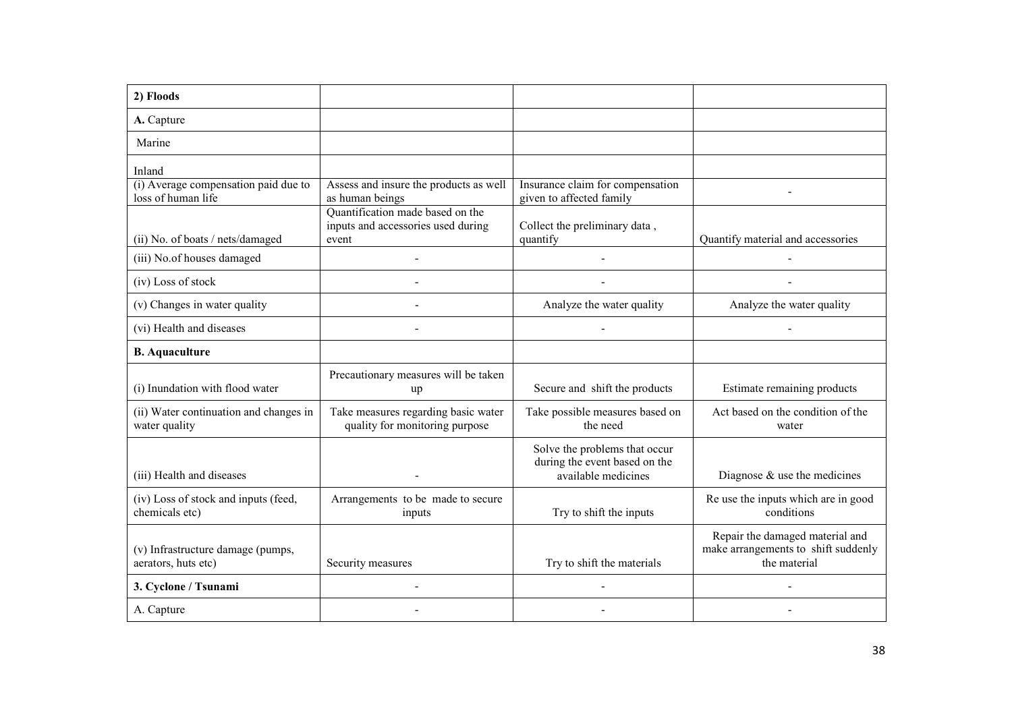| 2) Floods                                                  |                                                                                 |                                                                                       |                                                                                        |
|------------------------------------------------------------|---------------------------------------------------------------------------------|---------------------------------------------------------------------------------------|----------------------------------------------------------------------------------------|
| A. Capture                                                 |                                                                                 |                                                                                       |                                                                                        |
| Marine                                                     |                                                                                 |                                                                                       |                                                                                        |
| Inland                                                     |                                                                                 |                                                                                       |                                                                                        |
| (i) Average compensation paid due to<br>loss of human life | Assess and insure the products as well<br>as human beings                       | Insurance claim for compensation<br>given to affected family                          |                                                                                        |
| (ii) No. of boats / nets/damaged                           | Quantification made based on the<br>inputs and accessories used during<br>event | Collect the preliminary data,<br>quantify                                             | Quantify material and accessories                                                      |
| (iii) No.of houses damaged                                 |                                                                                 | ÷.                                                                                    |                                                                                        |
| (iv) Loss of stock                                         |                                                                                 |                                                                                       |                                                                                        |
| (v) Changes in water quality                               |                                                                                 | Analyze the water quality                                                             | Analyze the water quality                                                              |
| (vi) Health and diseases                                   |                                                                                 |                                                                                       |                                                                                        |
| <b>B.</b> Aquaculture                                      |                                                                                 |                                                                                       |                                                                                        |
| (i) Inundation with flood water                            | Precautionary measures will be taken<br>up                                      | Secure and shift the products                                                         | Estimate remaining products                                                            |
| (ii) Water continuation and changes in<br>water quality    | Take measures regarding basic water<br>quality for monitoring purpose           | Take possible measures based on<br>the need                                           | Act based on the condition of the<br>water                                             |
| (iii) Health and diseases                                  |                                                                                 | Solve the problems that occur<br>during the event based on the<br>available medicines | Diagnose $\&$ use the medicines                                                        |
| (iv) Loss of stock and inputs (feed,<br>chemicals etc)     | Arrangements to be made to secure<br>inputs                                     | Try to shift the inputs                                                               | Re use the inputs which are in good<br>conditions                                      |
| (v) Infrastructure damage (pumps,<br>aerators, huts etc)   | Security measures                                                               | Try to shift the materials                                                            | Repair the damaged material and<br>make arrangements to shift suddenly<br>the material |
| 3. Cyclone / Tsunami                                       |                                                                                 |                                                                                       |                                                                                        |
| A. Capture                                                 |                                                                                 |                                                                                       |                                                                                        |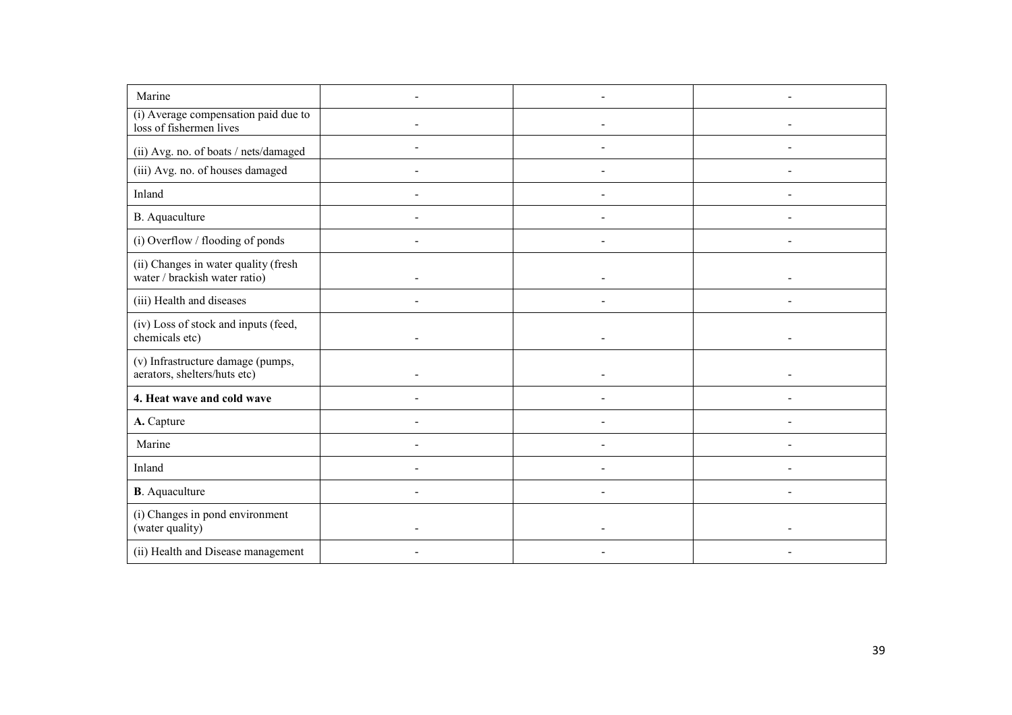| Marine                                                                |                |  |
|-----------------------------------------------------------------------|----------------|--|
| (i) Average compensation paid due to<br>loss of fishermen lives       |                |  |
| (ii) Avg. no. of boats / nets/damaged                                 |                |  |
| (iii) Avg. no. of houses damaged                                      |                |  |
| Inland                                                                |                |  |
| B. Aquaculture                                                        |                |  |
| (i) Overflow / flooding of ponds                                      |                |  |
| (ii) Changes in water quality (fresh<br>water / brackish water ratio) | $\overline{a}$ |  |
| (iii) Health and diseases                                             |                |  |
| (iv) Loss of stock and inputs (feed,<br>chemicals etc)                |                |  |
| (v) Infrastructure damage (pumps,<br>aerators, shelters/huts etc)     |                |  |
| 4. Heat wave and cold wave                                            |                |  |
| A. Capture                                                            |                |  |
| Marine                                                                |                |  |
| Inland                                                                |                |  |
| <b>B</b> . Aquaculture                                                |                |  |
| (i) Changes in pond environment<br>(water quality)                    |                |  |
| (ii) Health and Disease management                                    |                |  |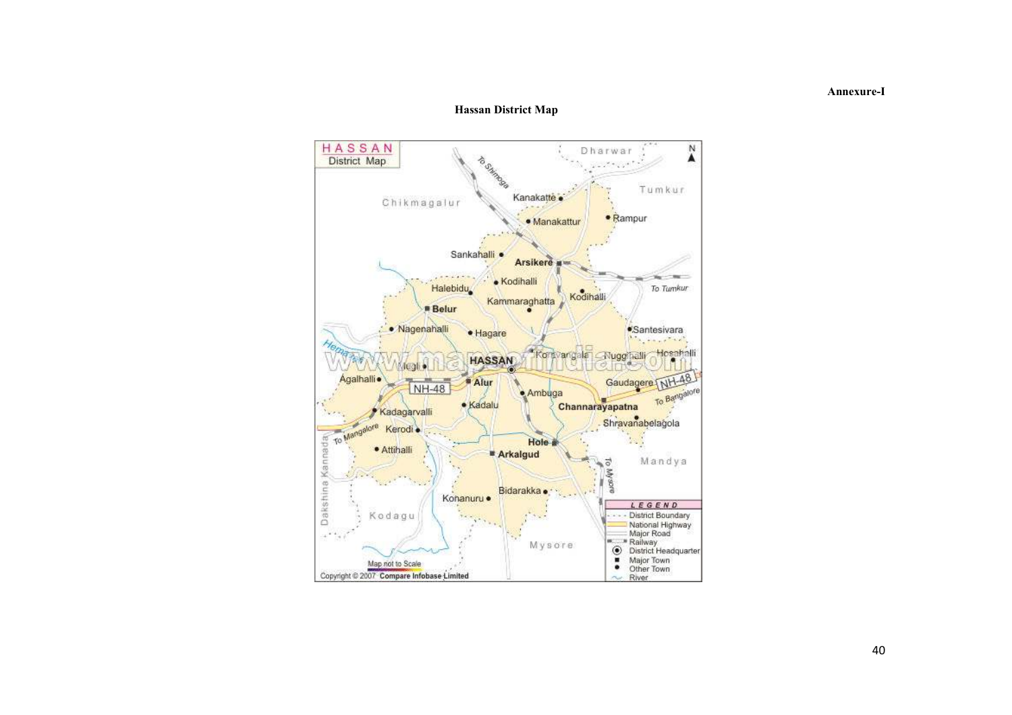#### Hassan District Map



Annexure-I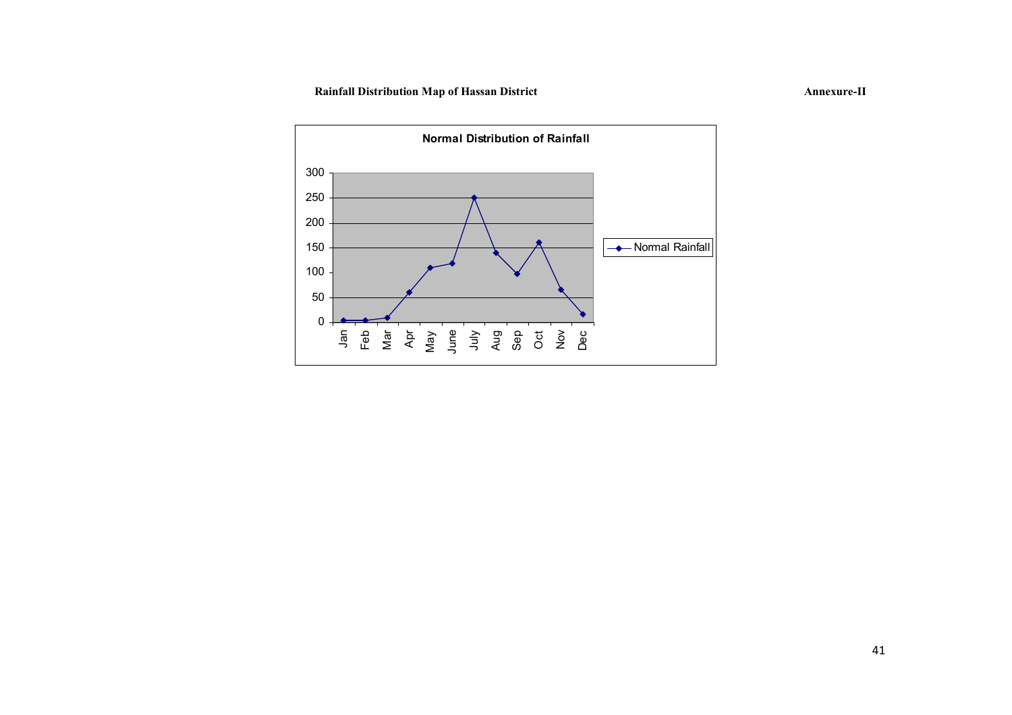# Rainfall Distribution Map of Hassan District Annexure-II